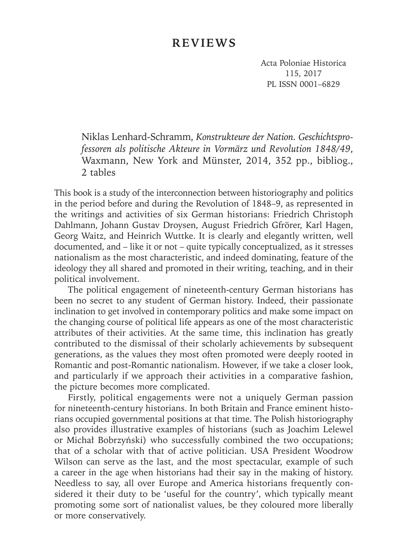## **REVIEWS**

Acta Poloniae Historica 115, 2017 PL ISSN 0001–6829

Niklas Lenhard-Schramm, *Konstrukteure der Nation. Geschichtsprofessoren als politische Akteure in Vormärz und Revolution 1848/49*, Waxmann, New York and Münster, 2014, 352 pp., bibliog., 2 tables

This book is a study of the interconnection between historiography and politics in the period before and during the Revolution of 1848–9, as represented in the writings and activities of six German historians: Friedrich Christoph Dahlmann, Johann Gustav Droysen, August Friedrich Gfrörer, Karl Hagen, Georg Waitz, and Heinrich Wuttke. It is clearly and elegantly written, well documented, and – like it or not – quite typically conceptualized, as it stresses nationalism as the most characteristic, and indeed dominating, feature of the ideology they all shared and promoted in their writing, teaching, and in their political involvement.

The political engagement of nineteenth-century German historians has been no secret to any student of German history. Indeed, their passionate inclination to get involved in contemporary politics and make some impact on the changing course of political life appears as one of the most characteristic attributes of their activities. At the same time, this inclination has greatly contributed to the dismissal of their scholarly achievements by subsequent generations, as the values they most often promoted were deeply rooted in Romantic and post-Romantic nationalism. However, if we take a closer look, and particularly if we approach their activities in a comparative fashion, the picture becomes more complicated.

Firstly, political engagements were not a uniquely German passion for nineteenth-century historians. In both Britain and France eminent historians occupied governmental positions at that time. The Polish historiography also provides illustrative examples of historians (such as Joachim Lelewel or Michał Bobrzyński) who successfully combined the two occupations; that of a scholar with that of active politician. USA President Woodrow Wilson can serve as the last, and the most spectacular, example of such a career in the age when historians had their say in the making of history. Needless to say, all over Europe and America historians frequently considered it their duty to be 'useful for the country', which typically meant promoting some sort of nationalist values, be they coloured more liberally or more conservatively.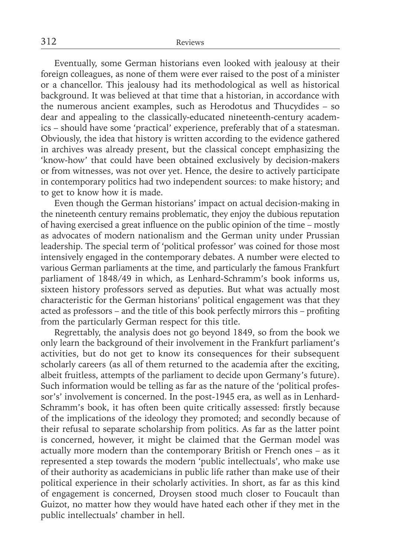Eventually, some German historians even looked with jealousy at their foreign colleagues, as none of them were ever raised to the post of a minister or a chancellor. This jealousy had its methodological as well as historical background. It was believed at that time that a historian, in accordance with the numerous ancient examples, such as Herodotus and Thucydides – so dear and appealing to the classically-educated nineteenth-century academics – should have some 'practical' experience, preferably that of a statesman. Obviously, the idea that history is written according to the evidence gathered in archives was already present, but the classical concept emphasizing the 'know-how' that could have been obtained exclusively by decision-makers or from witnesses, was not over yet. Hence, the desire to actively participate in contemporary politics had two independent sources: to make history; and to get to know how it is made.

Even though the German historians' impact on actual decision-making in the nineteenth century remains problematic, they enjoy the dubious reputation of having exercised a great influence on the public opinion of the time – mostly as advocates of modern nationalism and the German unity under Prussian leadership. The special term of 'political professor' was coined for those most intensively engaged in the contemporary debates. A number were elected to various German parliaments at the time, and particularly the famous Frankfurt parliament of 1848/49 in which, as Lenhard-Schramm's book informs us, sixteen history professors served as deputies. But what was actually most characteristic for the German historians' political engagement was that they acted as professors – and the title of this book perfectly mirrors this – profiting from the particularly German respect for this title.

Regrettably, the analysis does not go beyond 1849, so from the book we only learn the background of their involvement in the Frankfurt parliament's activities, but do not get to know its consequences for their subsequent scholarly careers (as all of them returned to the academia after the exciting, albeit fruitless, attempts of the parliament to decide upon Germany's future). Such information would be telling as far as the nature of the 'political professor's' involvement is concerned. In the post-1945 era, as well as in Lenhard-Schramm's book, it has often been quite critically assessed: firstly because of the implications of the ideology they promoted; and secondly because of their refusal to separate scholarship from politics. As far as the latter point is concerned, however, it might be claimed that the German model was actually more modern than the contemporary British or French ones – as it represented a step towards the modern 'public intellectuals', who make use of their authority as academicians in public life rather than make use of their political experience in their scholarly activities. In short, as far as this kind of engagement is concerned, Droysen stood much closer to Foucault than Guizot, no matter how they would have hated each other if they met in the public intellectuals' chamber in hell.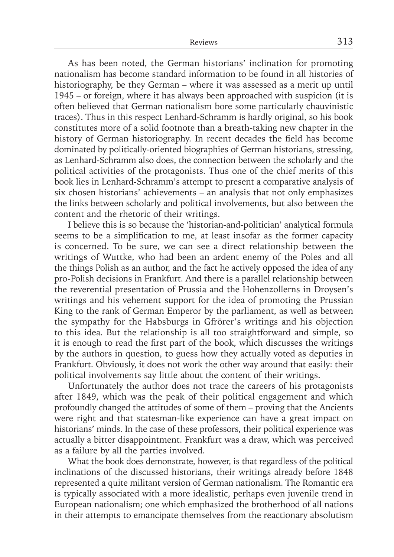As has been noted, the German historians' inclination for promoting nationalism has become standard information to be found in all histories of historiography, be they German – where it was assessed as a merit up until 1945 – or foreign, where it has always been approached with suspicion (it is often believed that German nationalism bore some particularly chauvinistic traces). Thus in this respect Lenhard-Schramm is hardly original, so his book constitutes more of a solid footnote than a breath-taking new chapter in the history of German historiography. In recent decades the field has become dominated by politically-oriented biographies of German historians, stressing, as Lenhard-Schramm also does, the connection between the scholarly and the political activities of the protagonists. Thus one of the chief merits of this book lies in Lenhard-Schramm's attempt to present a comparative analysis of six chosen historians' achievements – an analysis that not only emphasizes the links between scholarly and political involvements, but also between the content and the rhetoric of their writings.

I believe this is so because the 'historian-and-politician' analytical formula seems to be a simplification to me, at least insofar as the former capacity is concerned. To be sure, we can see a direct relationship between the writings of Wuttke, who had been an ardent enemy of the Poles and all the things Polish as an author, and the fact he actively opposed the idea of any pro-Polish decisions in Frankfurt. And there is a parallel relationship between the reverential presentation of Prussia and the Hohenzollerns in Droysen's writings and his vehement support for the idea of promoting the Prussian King to the rank of German Emperor by the parliament, as well as between the sympathy for the Habsburgs in Gfrörer's writings and his objection to this idea. But the relationship is all too straightforward and simple, so it is enough to read the first part of the book, which discusses the writings by the authors in question, to guess how they actually voted as deputies in Frankfurt. Obviously, it does not work the other way around that easily: their political involvements say little about the content of their writings.

Unfortunately the author does not trace the careers of his protagonists after 1849, which was the peak of their political engagement and which profoundly changed the attitudes of some of them – proving that the Ancients were right and that statesman-like experience can have a great impact on historians' minds. In the case of these professors, their political experience was actually a bitter disappointment. Frankfurt was a draw, which was perceived as a failure by all the parties involved.

What the book does demonstrate, however, is that regardless of the political inclinations of the discussed historians, their writings already before 1848 represented a quite militant version of German nationalism. The Romantic era is typically associated with a more idealistic, perhaps even juvenile trend in European nationalism; one which emphasized the brotherhood of all nations in their attempts to emancipate themselves from the reactionary absolutism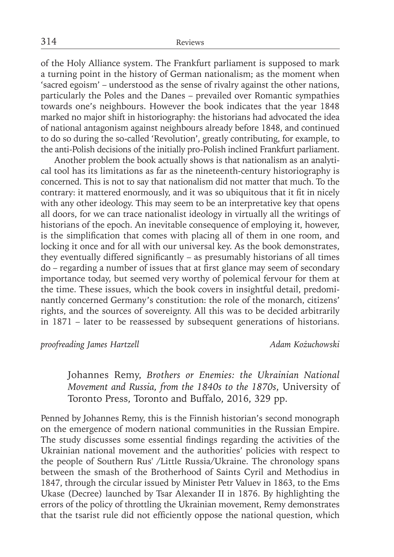of the Holy Alliance system. The Frankfurt parliament is supposed to mark a turning point in the history of German nationalism; as the moment when 'sacred egoism' – understood as the sense of rivalry against the other nations, particularly the Poles and the Danes – prevailed over Romantic sympathies towards one's neighbours. However the book indicates that the year 1848 marked no major shift in historiography: the historians had advocated the idea of national antagonism against neighbours already before 1848, and continued to do so during the so-called 'Revolution', greatly contributing, for example, to the anti-Polish decisions of the initially pro-Polish inclined Frankfurt parliament.

Another problem the book actually shows is that nationalism as an analytical tool has its limitations as far as the nineteenth-century historiography is concerned. This is not to say that nationalism did not matter that much. To the contrary: it mattered enormously, and it was so ubiquitous that it fit in nicely with any other ideology. This may seem to be an interpretative key that opens all doors, for we can trace nationalist ideology in virtually all the writings of historians of the epoch. An inevitable consequence of employing it, however, is the simplification that comes with placing all of them in one room, and locking it once and for all with our universal key. As the book demonstrates, they eventually differed significantly – as presumably historians of all times do – regarding a number of issues that at first glance may seem of secondary importance today, but seemed very worthy of polemical fervour for them at the time. These issues, which the book covers in insightful detail, predominantly concerned Germany's constitution: the role of the monarch, citizens' rights, and the sources of sovereignty. All this was to be decided arbitrarily in 1871 – later to be reassessed by subsequent generations of historians.

*proofreading James Hartzell Adam Kożuchowski*

Johannes Remy, *Brothers or Enemies: the Ukrainian National Movement and Russia, from the 1840s to the 1870s*, University of Toronto Press, Toronto and Buffalo, 2016, 329 pp.

Penned by Johannes Remy, this is the Finnish historian's second monograph on the emergence of modern national communities in the Russian Empire. The study discusses some essential findings regarding the activities of the Ukrainian national movement and the authorities' policies with respect to the people of Southern Rus' /Little Russia/Ukraine. The chronology spans between the smash of the Brotherhood of Saints Cyril and Methodius in 1847, through the circular issued by Minister Petr Valuev in 1863, to the Ems Ukase (Decree) launched by Tsar Alexander II in 1876. By highlighting the errors of the policy of throttling the Ukrainian movement, Remy demonstrates that the tsarist rule did not efficiently oppose the national question, which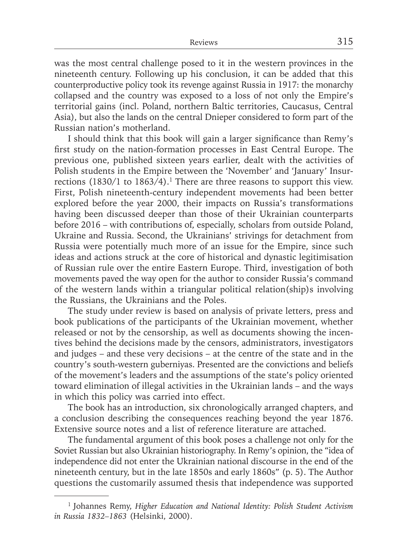was the most central challenge posed to it in the western provinces in the nineteenth century. Following up his conclusion, it can be added that this counterproductive policy took its revenge against Russia in 1917: the monarchy collapsed and the country was exposed to a loss of not only the Empire's territorial gains (incl. Poland, northern Baltic territories, Caucasus, Central Asia), but also the lands on the central Dnieper considered to form part of the Russian nation's motherland.

I should think that this book will gain a larger significance than Remy's first study on the nation-formation processes in East Central Europe. The previous one, published sixteen years earlier, dealt with the activities of Polish students in the Empire between the 'November' and 'January' Insurrections  $(1830/1$  to  $1863/4$ ).<sup>1</sup> There are three reasons to support this view. First, Polish nineteenth-century independent movements had been better explored before the year 2000, their impacts on Russia's transformations having been discussed deeper than those of their Ukrainian counterparts before 2016 – with contributions of, especially, scholars from outside Poland, Ukraine and Russia. Second, the Ukrainians' strivings for detachment from Russia were potentially much more of an issue for the Empire, since such ideas and actions struck at the core of historical and dynastic legitimisation of Russian rule over the entire Eastern Europe. Third, investigation of both movements paved the way open for the author to consider Russia's command of the western lands within a triangular political relation(ship)s involving the Russians, the Ukrainians and the Poles.

The study under review is based on analysis of private letters, press and book publications of the participants of the Ukrainian movement, whether released or not by the censorship, as well as documents showing the incentives behind the decisions made by the censors, administrators, investigators and judges – and these very decisions – at the centre of the state and in the country's south-western guberniyas. Presented are the convictions and beliefs of the movement's leaders and the assumptions of the state's policy oriented toward elimination of illegal activities in the Ukrainian lands – and the ways in which this policy was carried into effect.

The book has an introduction, six chronologically arranged chapters, and a conclusion describing the consequences reaching beyond the year 1876. Extensive source notes and a list of reference literature are attached.

The fundamental argument of this book poses a challenge not only for the Soviet Russian but also Ukrainian historiography. In Remy's opinion, the "idea of independence did not enter the Ukrainian national discourse in the end of the nineteenth century, but in the late 1850s and early 1860s" (p. 5). The Author questions the customarily assumed thesis that independence was supported

<sup>1</sup> Johannes Remy, *Higher Education and National Identity: Polish Student Activism in Russia 1832–1863* (Helsinki, 2000).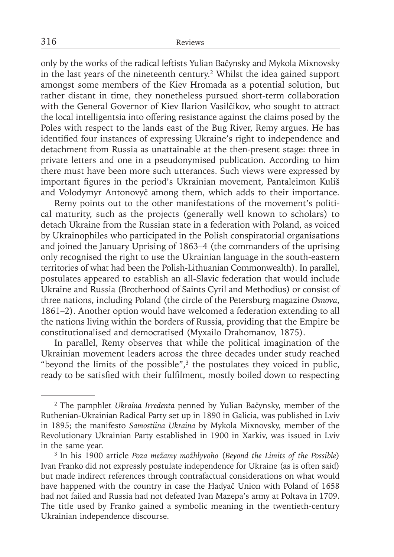only by the works of the radical leftists Yulian Bačynsky and Mykola Mixnovsky in the last years of the nineteenth century.2 Whilst the idea gained support amongst some members of the Kiev Hromada as a potential solution, but rather distant in time, they nonetheless pursued short-term collaboration with the General Governor of Kiev Ilarion Vasilčikov, who sought to attract the local intelligentsia into offering resistance against the claims posed by the Poles with respect to the lands east of the Bug River, Remy argues. He has identified four instances of expressing Ukraine's right to independence and detachment from Russia as unattainable at the then-present stage: three in private letters and one in a pseudonymised publication. According to him there must have been more such utterances. Such views were expressed by important figures in the period's Ukrainian movement, Pantaleimon Kuliš and Volodymyr Antonovyč among them, which adds to their importance.

Remy points out to the other manifestations of the movement's political maturity, such as the projects (generally well known to scholars) to detach Ukraine from the Russian state in a federation with Poland, as voiced by Ukrainophiles who participated in the Polish conspiratorial organisations and joined the January Uprising of 1863–4 (the commanders of the uprising only recognised the right to use the Ukrainian language in the south-eastern territories of what had been the Polish-Lithuanian Commonwealth). In parallel, postulates appeared to establish an all-Slavic federation that would include Ukraine and Russia (Brotherhood of Saints Cyril and Methodius) or consist of three nations, including Poland (the circle of the Petersburg magazine *Osnova*, 1861–2). Another option would have welcomed a federation extending to all the nations living within the borders of Russia, providing that the Empire be constitutionalised and democratised (Myxailo Drahomanov, 1875).

In parallel, Remy observes that while the political imagination of the Ukrainian movement leaders across the three decades under study reached "beyond the limits of the possible", $3$  the postulates they voiced in public, ready to be satisfied with their fulfilment, mostly boiled down to respecting

<sup>2</sup> The pamphlet *Ukraina Irredenta* penned by Yulian Bačynsky, member of the Ruthenian-Ukrainian Radical Party set up in 1890 in Galicia, was published in Lviv in 1895; the manifesto *Samostiina Ukraina* by Mykola Mixnovsky, member of the Revolutionary Ukrainian Party established in 1900 in Xarkiv, was issued in Lviv in the same year.

<sup>3</sup> In his 1900 article *Poza mežamy možhlyvoho* (*Beyond the Limits of the Possible*) Ivan Franko did not expressly postulate independence for Ukraine (as is often said) but made indirect references through contrafactual considerations on what would have happened with the country in case the Hadyač Union with Poland of 1658 had not failed and Russia had not defeated Ivan Mazepa's army at Poltava in 1709. The title used by Franko gained a symbolic meaning in the twentieth-century Ukrainian independence discourse.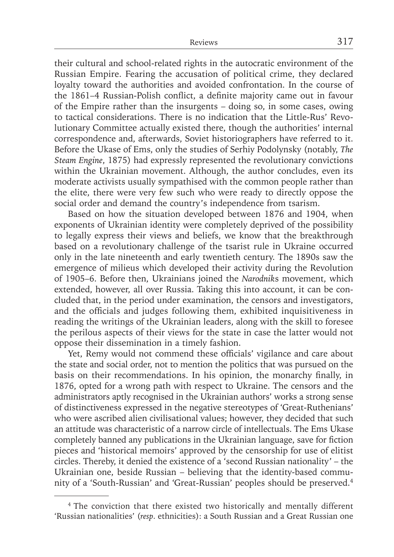their cultural and school-related rights in the autocratic environment of the Russian Empire. Fearing the accusation of political crime, they declared loyalty toward the authorities and avoided confrontation. In the course of the 1861–4 Russian-Polish conflict, a definite majority came out in favour of the Empire rather than the insurgents – doing so, in some cases, owing to tactical considerations. There is no indication that the Little-Rus' Revolutionary Committee actually existed there, though the authorities' internal correspondence and, afterwards, Soviet historiographers have referred to it. Before the Ukase of Ems, only the studies of Serhiy Podolynsky (notably, *The Steam Engine*, 1875) had expressly represented the revolutionary convictions within the Ukrainian movement. Although, the author concludes, even its moderate activists usually sympathised with the common people rather than the elite, there were very few such who were ready to directly oppose the social order and demand the country's independence from tsarism.

Based on how the situation developed between 1876 and 1904, when exponents of Ukrainian identity were completely deprived of the possibility to legally express their views and beliefs, we know that the breakthrough based on a revolutionary challenge of the tsarist rule in Ukraine occurred only in the late nineteenth and early twentieth century. The 1890s saw the emergence of milieus which developed their activity during the Revolution of 1905–6. Before then, Ukrainians joined the *Narodnik*s movement, which extended, however, all over Russia. Taking this into account, it can be concluded that, in the period under examination, the censors and investigators, and the officials and judges following them, exhibited inquisitiveness in reading the writings of the Ukrainian leaders, along with the skill to foresee the perilous aspects of their views for the state in case the latter would not oppose their dissemination in a timely fashion.

Yet, Remy would not commend these officials' vigilance and care about the state and social order, not to mention the politics that was pursued on the basis on their recommendations. In his opinion, the monarchy finally, in 1876, opted for a wrong path with respect to Ukraine. The censors and the administrators aptly recognised in the Ukrainian authors' works a strong sense of distinctiveness expressed in the negative stereotypes of 'Great-Ruthenians' who were ascribed alien civilisational values; however, they decided that such an attitude was characteristic of a narrow circle of intellectuals. The Ems Ukase completely banned any publications in the Ukrainian language, save for fiction pieces and 'historical memoirs' approved by the censorship for use of elitist circles. Thereby, it denied the existence of a 'second Russian nationality' – the Ukrainian one, beside Russian – believing that the identity-based community of a 'South-Russian' and 'Great-Russian' peoples should be preserved.4

<sup>&</sup>lt;sup>4</sup> The conviction that there existed two historically and mentally different 'Russian nationalities' (*resp*. ethnicities): a South Russian and a Great Russian one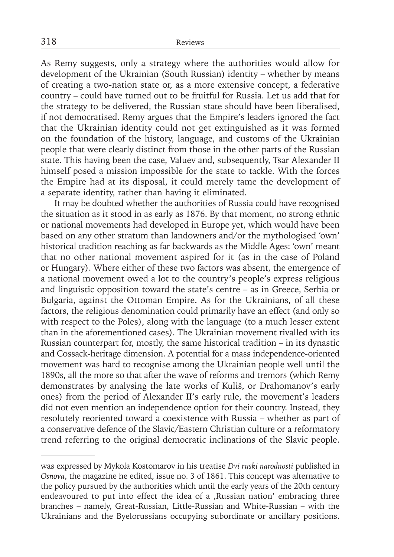As Remy suggests, only a strategy where the authorities would allow for development of the Ukrainian (South Russian) identity – whether by means of creating a two-nation state or, as a more extensive concept, a federative country – could have turned out to be fruitful for Russia. Let us add that for the strategy to be delivered, the Russian state should have been liberalised, if not democratised. Remy argues that the Empire's leaders ignored the fact that the Ukrainian identity could not get extinguished as it was formed on the foundation of the history, language, and customs of the Ukrainian people that were clearly distinct from those in the other parts of the Russian state. This having been the case, Valuev and, subsequently, Tsar Alexander II himself posed a mission impossible for the state to tackle. With the forces the Empire had at its disposal, it could merely tame the development of a separate identity, rather than having it eliminated.

It may be doubted whether the authorities of Russia could have recognised the situation as it stood in as early as 1876. By that moment, no strong ethnic or national movements had developed in Europe yet, which would have been based on any other stratum than landowners and/or the mythologised 'own' historical tradition reaching as far backwards as the Middle Ages: 'own' meant that no other national movement aspired for it (as in the case of Poland or Hungary). Where either of these two factors was absent, the emergence of a national movement owed a lot to the country's people's express religious and linguistic opposition toward the state's centre – as in Greece, Serbia or Bulgaria, against the Ottoman Empire. As for the Ukrainians, of all these factors, the religious denomination could primarily have an effect (and only so with respect to the Poles), along with the language (to a much lesser extent than in the aforementioned cases). The Ukrainian movement rivalled with its Russian counterpart for, mostly, the same historical tradition – in its dynastic and Cossack-heritage dimension. A potential for a mass independence-oriented movement was hard to recognise among the Ukrainian people well until the 1890s, all the more so that after the wave of reforms and tremors (which Remy demonstrates by analysing the late works of Kuliš, or Drahomanov's early ones) from the period of Alexander II's early rule, the movement's leaders did not even mention an independence option for their country. Instead, they resolutely reoriented toward a coexistence with Russia – whether as part of a conservative defence of the Slavic/Eastern Christian culture or a reformatory trend referring to the original democratic inclinations of the Slavic people.

was expressed by Mykola Kostomarov in his treatise *Dvi ruski narodnosti* published in *Osnova*, the magazine he edited, issue no. 3 of 1861. This concept was alternative to the policy pursued by the authorities which until the early years of the 20th century endeavoured to put into effect the idea of a ,Russian nation' embracing three branches – namely, Great-Russian, Little-Russian and White-Russian – with the Ukrainians and the Byelorussians occupying subordinate or ancillary positions.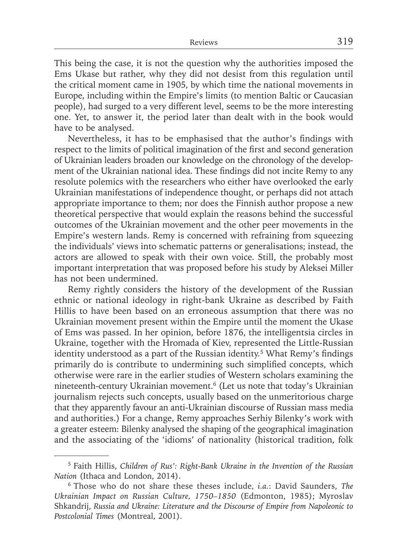This being the case, it is not the question why the authorities imposed the Ems Ukase but rather, why they did not desist from this regulation until the critical moment came in 1905, by which time the national movements in Europe, including within the Empire's limits (to mention Baltic or Caucasian people), had surged to a very different level, seems to be the more interesting one. Yet, to answer it, the period later than dealt with in the book would have to be analysed.

Nevertheless, it has to be emphasised that the author's findings with respect to the limits of political imagination of the first and second generation of Ukrainian leaders broaden our knowledge on the chronology of the development of the Ukrainian national idea. These findings did not incite Remy to any resolute polemics with the researchers who either have overlooked the early Ukrainian manifestations of independence thought, or perhaps did not attach appropriate importance to them; nor does the Finnish author propose a new theoretical perspective that would explain the reasons behind the successful outcomes of the Ukrainian movement and the other peer movements in the Empire's western lands. Remy is concerned with refraining from squeezing the individuals' views into schematic patterns or generalisations; instead, the actors are allowed to speak with their own voice. Still, the probably most important interpretation that was proposed before his study by Aleksei Miller has not been undermined.

Remy rightly considers the history of the development of the Russian ethnic or national ideology in right-bank Ukraine as described by Faith Hillis to have been based on an erroneous assumption that there was no Ukrainian movement present within the Empire until the moment the Ukase of Ems was passed. In her opinion, before 1876, the intelligentsia circles in Ukraine, together with the Hromada of Kiev, represented the Little-Russian identity understood as a part of the Russian identity.<sup>5</sup> What Remy's findings primarily do is contribute to undermining such simplified concepts, which otherwise were rare in the earlier studies of Western scholars examining the nineteenth-century Ukrainian movement.6 (Let us note that today's Ukrainian journalism rejects such concepts, usually based on the unmeritorious charge that they apparently favour an anti-Ukrainian discourse of Russian mass media and authorities.) For a change, Remy approaches Serhiy Bilenky's work with a greater esteem: Bilenky analysed the shaping of the geographical imagination and the associating of the 'idioms' of nationality (historical tradition, folk

<sup>5</sup> Faith Hillis, *Children of Rus': Right-Bank Ukraine in the Invention of the Russian Nation* (Ithaca and London, 2014).

<sup>6</sup> Those who do not share these theses include, *i.a.*: David Saunders, *The Ukrainian Impact on Russian Culture, 1750–1850* (Edmonton, 1985); Myroslav Shkandrij, *Russia and Ukraine: Literature and the Discourse of Empire from Napoleonic to Postcolonial Times* (Montreal, 2001).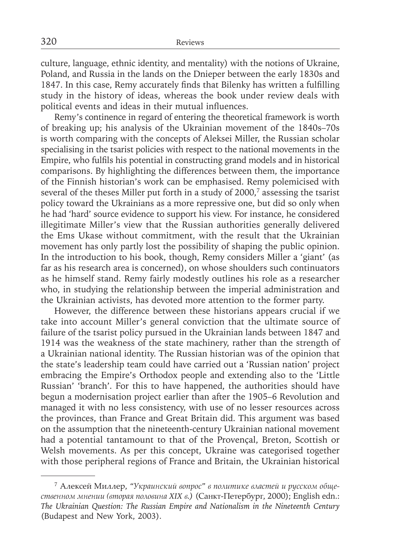culture, language, ethnic identity, and mentality) with the notions of Ukraine, Poland, and Russia in the lands on the Dnieper between the early 1830s and 1847. In this case, Remy accurately finds that Bilenky has written a fulfilling study in the history of ideas, whereas the book under review deals with political events and ideas in their mutual influences.

Remy's continence in regard of entering the theoretical framework is worth of breaking up; his analysis of the Ukrainian movement of the 1840s–70s is worth comparing with the concepts of Aleksei Miller, the Russian scholar specialising in the tsarist policies with respect to the national movements in the Empire, who fulfils his potential in constructing grand models and in historical comparisons. By highlighting the differences between them, the importance of the Finnish historian's work can be emphasised. Remy polemicised with several of the theses Miller put forth in a study of 2000,<sup>7</sup> assessing the tsarist policy toward the Ukrainians as a more repressive one, but did so only when he had 'hard' source evidence to support his view. For instance, he considered illegitimate Miller's view that the Russian authorities generally delivered the Ems Ukase without commitment, with the result that the Ukrainian movement has only partly lost the possibility of shaping the public opinion. In the introduction to his book, though, Remy considers Miller a 'giant' (as far as his research area is concerned), on whose shoulders such continuators as he himself stand. Remy fairly modestly outlines his role as a researcher who, in studying the relationship between the imperial administration and the Ukrainian activists, has devoted more attention to the former party.

However, the difference between these historians appears crucial if we take into account Miller's general conviction that the ultimate source of failure of the tsarist policy pursued in the Ukrainian lands between 1847 and 1914 was the weakness of the state machinery, rather than the strength of a Ukrainian national identity. The Russian historian was of the opinion that the state's leadership team could have carried out a 'Russian nation' project embracing the Empire's Orthodox people and extending also to the 'Little Russian' 'branch'. For this to have happened, the authorities should have begun a modernisation project earlier than after the 1905–6 Revolution and managed it with no less consistency, with use of no lesser resources across the provinces, than France and Great Britain did. This argument was based on the assumption that the nineteenth-century Ukrainian national movement had a potential tantamount to that of the Provençal, Breton, Scottish or Welsh movements. As per this concept, Ukraine was categorised together with those peripheral regions of France and Britain, the Ukrainian historical

<sup>7</sup>Алексей Миллер, *"Украинский вопрос" в политике властей и русском общественном мнении (вторая половина XIX в.)* (Санкт-Петербург, 2000); English edn.: *The Ukrainian Question: The Russian Empire and Nationalism in the Nineteenth Century* (Budapest and New York, 2003).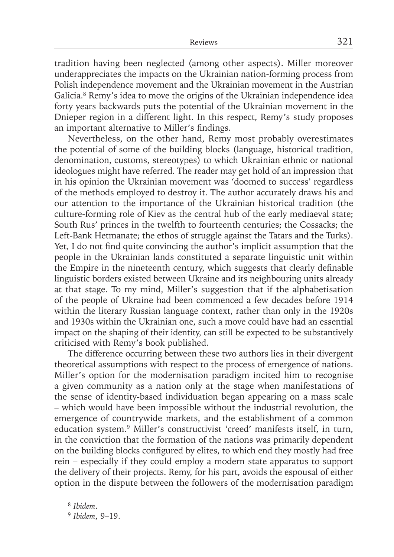tradition having been neglected (among other aspects). Miller moreover underappreciates the impacts on the Ukrainian nation-forming process from Polish independence movement and the Ukrainian movement in the Austrian Galicia.8 Remy's idea to move the origins of the Ukrainian independence idea forty years backwards puts the potential of the Ukrainian movement in the Dnieper region in a different light. In this respect, Remy's study proposes an important alternative to Miller's findings.

Nevertheless, on the other hand, Remy most probably overestimates the potential of some of the building blocks (language, historical tradition, denomination, customs, stereotypes) to which Ukrainian ethnic or national ideologues might have referred. The reader may get hold of an impression that in his opinion the Ukrainian movement was 'doomed to success' regardless of the methods employed to destroy it. The author accurately draws his and our attention to the importance of the Ukrainian historical tradition (the culture-forming role of Kiev as the central hub of the early mediaeval state; South Rus' princes in the twelfth to fourteenth centuries; the Cossacks; the Left-Bank Hetmanate; the ethos of struggle against the Tatars and the Turks). Yet, I do not find quite convincing the author's implicit assumption that the people in the Ukrainian lands constituted a separate linguistic unit within the Empire in the nineteenth century, which suggests that clearly definable linguistic borders existed between Ukraine and its neighbouring units already at that stage. To my mind, Miller's suggestion that if the alphabetisation of the people of Ukraine had been commenced a few decades before 1914 within the literary Russian language context, rather than only in the 1920s and 1930s within the Ukrainian one, such a move could have had an essential impact on the shaping of their identity, can still be expected to be substantively criticised with Remy's book published.

The difference occurring between these two authors lies in their divergent theoretical assumptions with respect to the process of emergence of nations. Miller's option for the modernisation paradigm incited him to recognise a given community as a nation only at the stage when manifestations of the sense of identity-based individuation began appearing on a mass scale – which would have been impossible without the industrial revolution, the emergence of countrywide markets, and the establishment of a common education system.9 Miller's constructivist 'creed' manifests itself, in turn, in the conviction that the formation of the nations was primarily dependent on the building blocks configured by elites, to which end they mostly had free rein – especially if they could employ a modern state apparatus to support the delivery of their projects. Remy, for his part, avoids the espousal of either option in the dispute between the followers of the modernisation paradigm

<sup>8</sup>*Ibidem*.

<sup>9</sup>*Ibidem*, 9–19.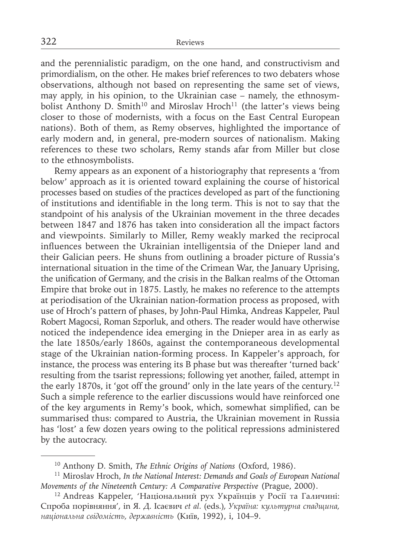and the perennialistic paradigm, on the one hand, and constructivism and primordialism, on the other. He makes brief references to two debaters whose observations, although not based on representing the same set of views, may apply, in his opinion, to the Ukrainian case – namely, the ethnosymbolist Anthony D. Smith<sup>10</sup> and Miroslav Hroch<sup>11</sup> (the latter's views being closer to those of modernists, with a focus on the East Central European nations). Both of them, as Remy observes, highlighted the importance of early modern and, in general, pre-modern sources of nationalism. Making references to these two scholars, Remy stands afar from Miller but close to the ethnosymbolists.

Remy appears as an exponent of a historiography that represents a 'from below' approach as it is oriented toward explaining the course of historical processes based on studies of the practices developed as part of the functioning of institutions and identifiable in the long term. This is not to say that the standpoint of his analysis of the Ukrainian movement in the three decades between 1847 and 1876 has taken into consideration all the impact factors and viewpoints. Similarly to Miller, Remy weakly marked the reciprocal influences between the Ukrainian intelligentsia of the Dnieper land and their Galician peers. He shuns from outlining a broader picture of Russia's international situation in the time of the Crimean War, the January Uprising, the unification of Germany, and the crisis in the Balkan realms of the Ottoman Empire that broke out in 1875. Lastly, he makes no reference to the attempts at periodisation of the Ukrainian nation-formation process as proposed, with use of Hroch's pattern of phases, by John-Paul Himka, Andreas Kappeler, Paul Robert Magocsi, Roman Szporluk, and others. The reader would have otherwise noticed the independence idea emerging in the Dnieper area in as early as the late 1850s/early 1860s, against the contemporaneous developmental stage of the Ukrainian nation-forming process. In Kappeler's approach, for instance, the process was entering its B phase but was thereafter 'turned back' resulting from the tsarist repressions; following yet another, failed, attempt in the early 1870s, it 'got off the ground' only in the late years of the century.12 Such a simple reference to the earlier discussions would have reinforced one of the key arguments in Remy's book, which, somewhat simplified, can be summarised thus: compared to Austria, the Ukrainian movement in Russia has 'lost' a few dozen years owing to the political repressions administered by the autocracy.

<sup>10</sup> Anthony D. Smith, *The Ethnic Origins of Nations* (Oxford, 1986).

<sup>11</sup> Miroslav Hroch, *In the National Interest: Demands and Goals of European National Movements of the Nineteenth Century: A Comparative Perspective* (Prague, 2000).

<sup>12</sup> Andreas Kappeler, 'Національний рух Українців у Росії та Галичині: Спроба порівняння', in Я. Д. Ісаєвич *et al.* (eds.), *Україна: культурна спадщина, національна свідомість, державність* (Київ, 1992), i, 104–9.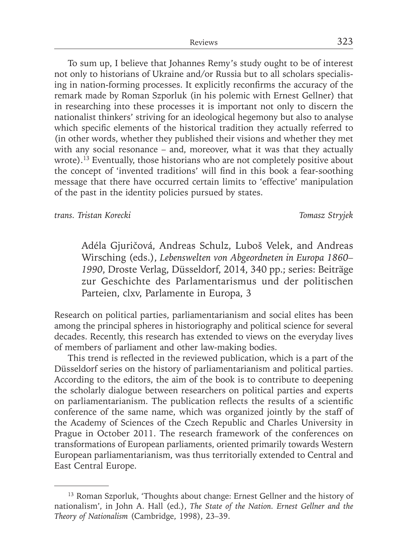To sum up, I believe that Johannes Remy's study ought to be of interest not only to historians of Ukraine and/or Russia but to all scholars specialising in nation-forming processes. It explicitly reconfirms the accuracy of the remark made by Roman Szporluk (in his polemic with Ernest Gellner) that in researching into these processes it is important not only to discern the nationalist thinkers' striving for an ideological hegemony but also to analyse which specific elements of the historical tradition they actually referred to (in other words, whether they published their visions and whether they met with any social resonance – and, moreover, what it was that they actually wrote).<sup>13</sup> Eventually, those historians who are not completely positive about the concept of 'invented traditions' will find in this book a fear-soothing message that there have occurred certain limits to 'effective' manipulation of the past in the identity policies pursued by states.

*trans. Tristan Korecki Tomasz Stryjek*

Adéla Gjuričová, Andreas Schulz, Luboš Velek, and Andreas Wirsching (eds.), *Lebenswelten von Abgeordneten in Europa 1860– 1990*, Droste Verlag, Düsseldorf, 2014, 340 pp.; series: Beiträge zur Geschichte des Parlamentarismus und der politischen Parteien, clxv, Parlamente in Europa, 3

Research on political parties, parliamentarianism and social elites has been among the principal spheres in historiography and political science for several decades. Recently, this research has extended to views on the everyday lives of members of parliament and other law-making bodies.

This trend is reflected in the reviewed publication, which is a part of the Düsseldorf series on the history of parliamentarianism and political parties. According to the editors, the aim of the book is to contribute to deepening the scholarly dialogue between researchers on political parties and experts on parliamentarianism. The publication reflects the results of a scientific conference of the same name, which was organized jointly by the staff of the Academy of Sciences of the Czech Republic and Charles University in Prague in October 2011. The research framework of the conferences on transformations of European parliaments, oriented primarily towards Western European parliamentarianism, was thus territorially extended to Central and East Central Europe.

<sup>&</sup>lt;sup>13</sup> Roman Szporluk, 'Thoughts about change: Ernest Gellner and the history of nationalism', in John A. Hall (ed.), *The State of the Nation. Ernest Gellner and the Theory of Nationalism* (Cambridge, 1998), 23–39.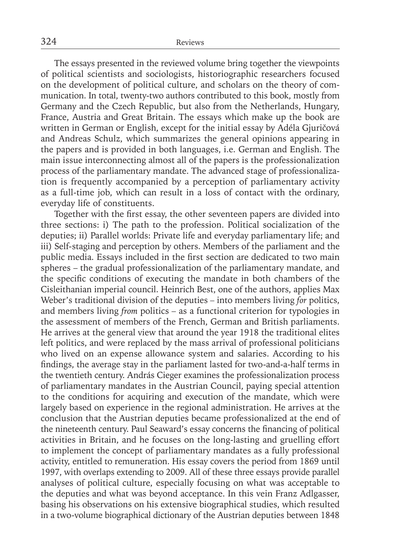The essays presented in the reviewed volume bring together the viewpoints of political scientists and sociologists, historiographic researchers focused on the development of political culture, and scholars on the theory of communication. In total, twenty-two authors contributed to this book, mostly from Germany and the Czech Republic, but also from the Netherlands, Hungary, France, Austria and Great Britain. The essays which make up the book are written in German or English, except for the initial essay by Adéla Gjuričová and Andreas Schulz, which summarizes the general opinions appearing in the papers and is provided in both languages, i.e. German and English. The main issue interconnecting almost all of the papers is the professionalization process of the parliamentary mandate. The advanced stage of professionalization is frequently accompanied by a perception of parliamentary activity as a full-time job, which can result in a loss of contact with the ordinary, everyday life of constituents.

Together with the first essay, the other seventeen papers are divided into three sections: i) The path to the profession. Political socialization of the deputies; ii) Parallel worlds: Private life and everyday parliamentary life; and iii) Self-staging and perception by others. Members of the parliament and the public media. Essays included in the first section are dedicated to two main spheres – the gradual professionalization of the parliamentary mandate, and the specific conditions of executing the mandate in both chambers of the Cisleithanian imperial council. Heinrich Best, one of the authors, applies Max Weber's traditional division of the deputies *–* into members living *for* politics, and members living *from* politics *–* as a functional criterion for typologies in the assessment of members of the French, German and British parliaments. He arrives at the general view that around the year 1918 the traditional elites left politics, and were replaced by the mass arrival of professional politicians who lived on an expense allowance system and salaries. According to his findings, the average stay in the parliament lasted for two-and-a-half terms in the twentieth century. András Cieger examines the professionalization process of parliamentary mandates in the Austrian Council, paying special attention to the conditions for acquiring and execution of the mandate, which were largely based on experience in the regional administration. He arrives at the conclusion that the Austrian deputies became professionalized at the end of the nineteenth century. Paul Seaward's essay concerns the financing of political activities in Britain, and he focuses on the long-lasting and gruelling effort to implement the concept of parliamentary mandates as a fully professional activity, entitled to remuneration. His essay covers the period from 1869 until 1997, with overlaps extending to 2009. All of these three essays provide parallel analyses of political culture, especially focusing on what was acceptable to the deputies and what was beyond acceptance. In this vein Franz Adlgasser, basing his observations on his extensive biographical studies, which resulted in a two-volume biographical dictionary of the Austrian deputies between 1848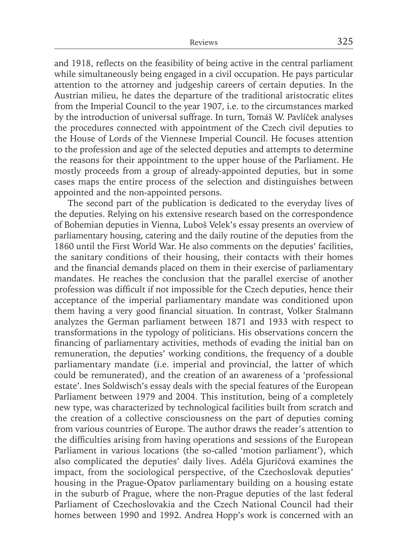and 1918, reflects on the feasibility of being active in the central parliament while simultaneously being engaged in a civil occupation. He pays particular attention to the attorney and judgeship careers of certain deputies. In the Austrian milieu, he dates the departure of the traditional aristocratic elites from the Imperial Council to the year 1907, i.e. to the circumstances marked by the introduction of universal suffrage. In turn, Tomáš W. Pavlíček analyses the procedures connected with appointment of the Czech civil deputies to the House of Lords of the Viennese Imperial Council. He focuses attention to the profession and age of the selected deputies and attempts to determine the reasons for their appointment to the upper house of the Parliament. He mostly proceeds from a group of already-appointed deputies, but in some cases maps the entire process of the selection and distinguishes between appointed and the non-appointed persons.

The second part of the publication is dedicated to the everyday lives of the deputies. Relying on his extensive research based on the correspondence of Bohemian deputies in Vienna, Luboš Velek's essay presents an overview of parliamentary housing, catering and the daily routine of the deputies from the 1860 until the First World War. He also comments on the deputies' facilities, the sanitary conditions of their housing, their contacts with their homes and the financial demands placed on them in their exercise of parliamentary mandates. He reaches the conclusion that the parallel exercise of another profession was difficult if not impossible for the Czech deputies, hence their acceptance of the imperial parliamentary mandate was conditioned upon them having a very good financial situation. In contrast, Volker Stalmann analyzes the German parliament between 1871 and 1933 with respect to transformations in the typology of politicians. His observations concern the financing of parliamentary activities, methods of evading the initial ban on remuneration, the deputies' working conditions, the frequency of a double parliamentary mandate (i.e. imperial and provincial, the latter of which could be remunerated), and the creation of an awareness of a 'professional estate'. Ines Soldwisch's essay deals with the special features of the European Parliament between 1979 and 2004. This institution, being of a completely new type, was characterized by technological facilities built from scratch and the creation of a collective consciousness on the part of deputies coming from various countries of Europe. The author draws the reader's attention to the difficulties arising from having operations and sessions of the European Parliament in various locations (the so-called 'motion parliament'), which also complicated the deputies' daily lives. Adéla Gjuričová examines the impact, from the sociological perspective, of the Czechoslovak deputies' housing in the Prague-Opatov parliamentary building on a housing estate in the suburb of Prague, where the non-Prague deputies of the last federal Parliament of Czechoslovakia and the Czech National Council had their homes between 1990 and 1992. Andrea Hopp's work is concerned with an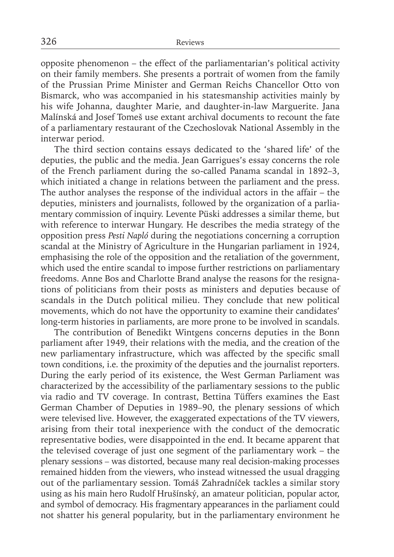opposite phenomenon – the effect of the parliamentarian's political activity on their family members. She presents a portrait of women from the family of the Prussian Prime Minister and German Reichs Chancellor Otto von Bismarck, who was accompanied in his statesmanship activities mainly by his wife Johanna, daughter Marie, and daughter-in-law Marguerite. Jana Malínská and Josef Tomeš use extant archival documents to recount the fate of a parliamentary restaurant of the Czechoslovak National Assembly in the interwar period.

The third section contains essays dedicated to the 'shared life' of the deputies, the public and the media. Jean Garrigues's essay concerns the role of the French parliament during the so-called Panama scandal in 1892*–*3, which initiated a change in relations between the parliament and the press. The author analyses the response of the individual actors in the affair – the deputies, ministers and journalists, followed by the organization of a parliamentary commission of inquiry. Levente Püski addresses a similar theme, but with reference to interwar Hungary. He describes the media strategy of the opposition press *Pesti Napló* during the negotiations concerning a corruption scandal at the Ministry of Agriculture in the Hungarian parliament in 1924, emphasising the role of the opposition and the retaliation of the government, which used the entire scandal to impose further restrictions on parliamentary freedoms. Anne Bos and Charlotte Brand analyse the reasons for the resignations of politicians from their posts as ministers and deputies because of scandals in the Dutch political milieu. They conclude that new political movements, which do not have the opportunity to examine their candidates' long-term histories in parliaments, are more prone to be involved in scandals.

The contribution of Benedikt Wintgens concerns deputies in the Bonn parliament after 1949, their relations with the media, and the creation of the new parliamentary infrastructure, which was affected by the specific small town conditions, i.e. the proximity of the deputies and the journalist reporters. During the early period of its existence, the West German Parliament was characterized by the accessibility of the parliamentary sessions to the public via radio and TV coverage. In contrast, Bettina Tüffers examines the East German Chamber of Deputies in 1989*–*90, the plenary sessions of which were televised live. However, the exaggerated expectations of the TV viewers, arising from their total inexperience with the conduct of the democratic representative bodies, were disappointed in the end. It became apparent that the televised coverage of just one segment of the parliamentary work – the plenary sessions *–* was distorted, because many real decision-making processes remained hidden from the viewers, who instead witnessed the usual dragging out of the parliamentary session. Tomáš Zahradníček tackles a similar story using as his main hero Rudolf Hrušínský, an amateur politician, popular actor, and symbol of democracy. His fragmentary appearances in the parliament could not shatter his general popularity, but in the parliamentary environment he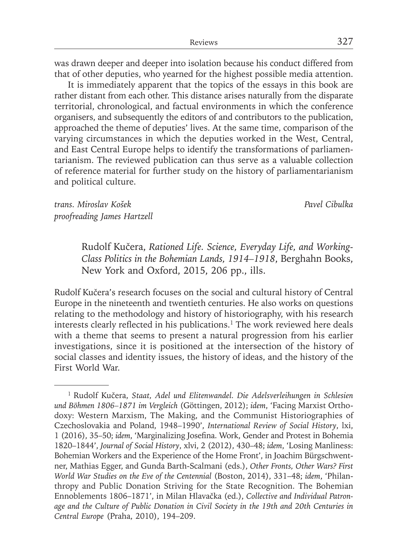was drawn deeper and deeper into isolation because his conduct differed from that of other deputies, who yearned for the highest possible media attention.

It is immediately apparent that the topics of the essays in this book are rather distant from each other. This distance arises naturally from the disparate territorial, chronological, and factual environments in which the conference organisers, and subsequently the editors of and contributors to the publication, approached the theme of deputies' lives. At the same time, comparison of the varying circumstances in which the deputies worked in the West, Central, and East Central Europe helps to identify the transformations of parliamentarianism. The reviewed publication can thus serve as a valuable collection of reference material for further study on the history of parliamentarianism and political culture.

*trans. Miroslav Košek Pavel Cibulka proofreading James Hartzell*

Rudolf Kučera, *Rationed Life. Science, Everyday Life, and Working-Class Politics in the Bohemian Lands, 1914–1918*, Berghahn Books, New York and Oxford, 2015, 206 pp., ills.

Rudolf Kučera's research focuses on the social and cultural history of Central Europe in the nineteenth and twentieth centuries. He also works on questions relating to the methodology and history of historiography, with his research interests clearly reflected in his publications.<sup>1</sup> The work reviewed here deals with a theme that seems to present a natural progression from his earlier investigations, since it is positioned at the intersection of the history of social classes and identity issues, the history of ideas, and the history of the First World War.

<sup>1</sup> Rudolf Kučera, *Staat, Adel und Elitenwandel. Die Adelsverleihungen in Schlesien und Böhmen 1806–1871 im Vergleich* (Göttingen, 2012); *idem*, 'Facing Marxist Orthodoxy: Western Marxism, The Making, and the Communist Historiographies of Czechoslovakia and Poland, 1948–1990', *International Review of Social History*, lxi, 1 (2016), 35-50; *idem*, 'Marginalizing Josefina. Work, Gender and Protest in Bohemia 1820–1844', *Journal of Social History*, xlvi, 2 (2012), 430–48; *idem*, 'Losing Manliness: Bohemian Workers and the Experience of the Home Front', in Joachim Bürgschwentner, Mathias Egger, and Gunda Barth-Scalmani (eds.), *Other Fronts, Other Wars? First World War Studies on the Eve of the Centennial* (Boston, 2014), 331–48; *idem*, 'Philanthropy and Public Donation Striving for the State Recognition. The Bohemian Ennoblements 1806–1871', in Milan Hlavačka (ed.), *Collective and Individual Patronage and the Culture of Public Donation in Civil Society in the 19th and 20th Centuries in Central Europe* (Praha, 2010), 194–209.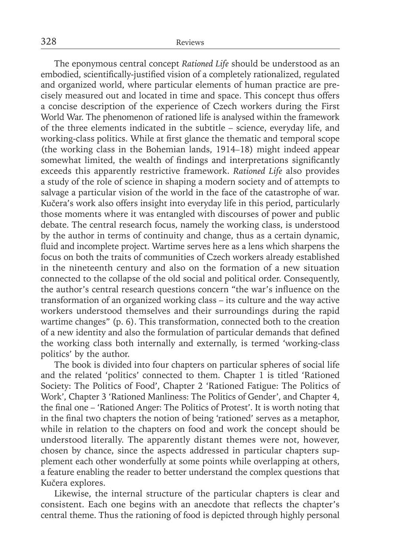The eponymous central concept *Rationed Life* should be understood as an embodied, scientifically-justified vision of a completely rationalized, regulated and organized world, where particular elements of human practice are precisely measured out and located in time and space. This concept thus offers a concise description of the experience of Czech workers during the First World War. The phenomenon of rationed life is analysed within the framework of the three elements indicated in the subtitle – science, everyday life, and working-class politics. While at first glance the thematic and temporal scope (the working class in the Bohemian lands, 1914*–*18) might indeed appear somewhat limited, the wealth of findings and interpretations significantly exceeds this apparently restrictive framework. *Rationed Life* also provides a study of the role of science in shaping a modern society and of attempts to salvage a particular vision of the world in the face of the catastrophe of war. Kučera's work also offers insight into everyday life in this period, particularly those moments where it was entangled with discourses of power and public debate. The central research focus, namely the working class, is understood by the author in terms of continuity and change, thus as a certain dynamic, fluid and incomplete project. Wartime serves here as a lens which sharpens the focus on both the traits of communities of Czech workers already established in the nineteenth century and also on the formation of a new situation connected to the collapse of the old social and political order. Consequently, the author's central research questions concern "the war's influence on the transformation of an organized working class – its culture and the way active workers understood themselves and their surroundings during the rapid wartime changes" (p. 6). This transformation, connected both to the creation of a new identity and also the formulation of particular demands that defined the working class both internally and externally, is termed 'working-class politics' by the author.

The book is divided into four chapters on particular spheres of social life and the related 'politics' connected to them. Chapter 1 is titled 'Rationed Society: The Politics of Food', Chapter 2 'Rationed Fatigue: The Politics of Work', Chapter 3 'Rationed Manliness: The Politics of Gender', and Chapter 4, the final one – 'Rationed Anger: The Politics of Protest'. It is worth noting that in the final two chapters the notion of being 'rationed' serves as a metaphor, while in relation to the chapters on food and work the concept should be understood literally. The apparently distant themes were not, however, chosen by chance, since the aspects addressed in particular chapters supplement each other wonderfully at some points while overlapping at others, a feature enabling the reader to better understand the complex questions that Kučera explores.

Likewise, the internal structure of the particular chapters is clear and consistent. Each one begins with an anecdote that reflects the chapter's central theme. Thus the rationing of food is depicted through highly personal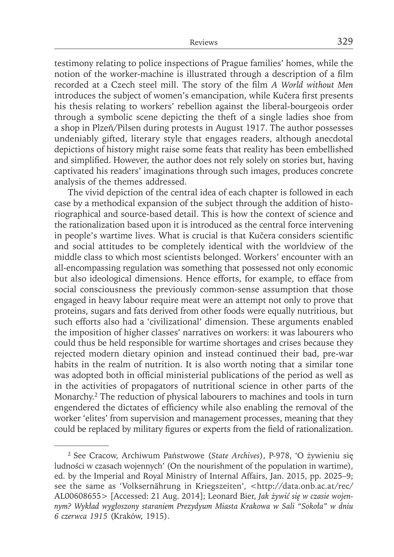testimony relating to police inspections of Prague families' homes, while the notion of the worker-machine is illustrated through a description of a film recorded at a Czech steel mill. The story of the film *A World without Men* introduces the subject of women's emancipation, while Kučera first presents his thesis relating to workers' rebellion against the liberal-bourgeois order through a symbolic scene depicting the theft of a single ladies shoe from a shop in Plzeň/Pilsen during protests in August 1917. The author possesses undeniably gifted, literary style that engages readers, although anecdotal depictions of history might raise some feats that reality has been embellished and simplified. However, the author does not rely solely on stories but, having captivated his readers' imaginations through such images, produces concrete analysis of the themes addressed.

The vivid depiction of the central idea of each chapter is followed in each case by a methodical expansion of the subject through the addition of historiographical and source-based detail. This is how the context of science and the rationalization based upon it is introduced as the central force intervening in people's wartime lives. What is crucial is that Kučera considers scientific and social attitudes to be completely identical with the worldview of the middle class to which most scientists belonged. Workers' encounter with an all-encompassing regulation was something that possessed not only economic but also ideological dimensions. Hence efforts, for example, to efface from social consciousness the previously common-sense assumption that those engaged in heavy labour require meat were an attempt not only to prove that proteins, sugars and fats derived from other foods were equally nutritious, but such efforts also had a 'civilizational' dimension. These arguments enabled the imposition of higher classes' narratives on workers: it was labourers who could thus be held responsible for wartime shortages and crises because they rejected modern dietary opinion and instead continued their bad, pre-war habits in the realm of nutrition. It is also worth noting that a similar tone was adopted both in official ministerial publications of the period as well as in the activities of propagators of nutritional science in other parts of the Monarchy.2 The reduction of physical labourers to machines and tools in turn engendered the dictates of efficiency while also enabling the removal of the worker 'elites' from supervision and management processes, meaning that they could be replaced by military figures or experts from the field of rationalization.

<sup>2</sup> See Cracow, Archiwum Państwowe (*State Archives*), P-978, 'O żywieniu się ludności w czasach wojennych' (On the nourishment of the population in wartime), ed. by the Imperial and Royal Ministry of Internal Affairs, Jan. 2015, pp. 2025–9; see the same as 'Volksernährung in Kriegszeiten', <http://data.onb.ac.at/rec/ AL00608655> [Accessed: 21 Aug. 2014]; Leonard Bier, *Jak żywić się w czasie wojennym? Wykład wygłoszony staraniem Prezydyum Miasta Krakowa w Sali "Sokoła" w dniu 6 czerwca 1915* (Kraków, 1915).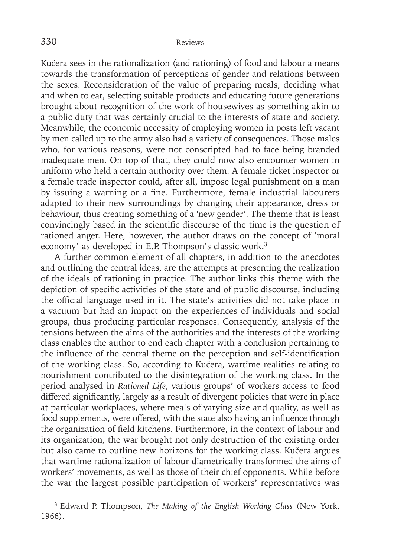Kučera sees in the rationalization (and rationing) of food and labour a means towards the transformation of perceptions of gender and relations between the sexes. Reconsideration of the value of preparing meals, deciding what and when to eat, selecting suitable products and educating future generations brought about recognition of the work of housewives as something akin to a public duty that was certainly crucial to the interests of state and society. Meanwhile, the economic necessity of employing women in posts left vacant by men called up to the army also had a variety of consequences. Those males who, for various reasons, were not conscripted had to face being branded inadequate men. On top of that, they could now also encounter women in uniform who held a certain authority over them. A female ticket inspector or a female trade inspector could, after all, impose legal punishment on a man by issuing a warning or a fine. Furthermore, female industrial labourers adapted to their new surroundings by changing their appearance, dress or behaviour, thus creating something of a 'new gender'. The theme that is least convincingly based in the scientific discourse of the time is the question of rationed anger. Here, however, the author draws on the concept of 'moral economy' as developed in E.P. Thompson's classic work.3

A further common element of all chapters, in addition to the anecdotes and outlining the central ideas, are the attempts at presenting the realization of the ideals of rationing in practice. The author links this theme with the depiction of specific activities of the state and of public discourse, including the official language used in it. The state's activities did not take place in a vacuum but had an impact on the experiences of individuals and social groups, thus producing particular responses. Consequently, analysis of the tensions between the aims of the authorities and the interests of the working class enables the author to end each chapter with a conclusion pertaining to the influence of the central theme on the perception and self-identification of the working class. So, according to Kučera, wartime realities relating to nourishment contributed to the disintegration of the working class. In the period analysed in *Rationed Life*, various groups' of workers access to food differed significantly, largely as a result of divergent policies that were in place at particular workplaces, where meals of varying size and quality, as well as food supplements, were offered, with the state also having an influence through the organization of field kitchens. Furthermore, in the context of labour and its organization, the war brought not only destruction of the existing order but also came to outline new horizons for the working class. Kučera argues that wartime rationalization of labour diametrically transformed the aims of workers' movements, as well as those of their chief opponents. While before the war the largest possible participation of workers' representatives was

<sup>3</sup> Edward P. Thompson, *The Making of the English Working Class* (New York, 1966).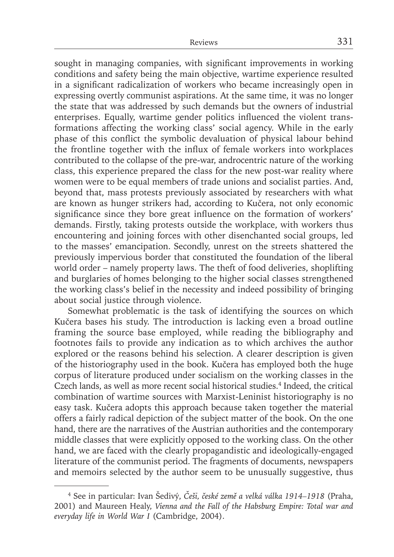sought in managing companies, with significant improvements in working conditions and safety being the main objective, wartime experience resulted in a significant radicalization of workers who became increasingly open in expressing overtly communist aspirations. At the same time, it was no longer the state that was addressed by such demands but the owners of industrial enterprises. Equally, wartime gender politics influenced the violent transformations affecting the working class' social agency. While in the early phase of this conflict the symbolic devaluation of physical labour behind the frontline together with the influx of female workers into workplaces contributed to the collapse of the pre-war, androcentric nature of the working class, this experience prepared the class for the new post-war reality where women were to be equal members of trade unions and socialist parties. And, beyond that, mass protests previously associated by researchers with what are known as hunger strikers had, according to Kučera, not only economic significance since they bore great influence on the formation of workers' demands. Firstly, taking protests outside the workplace, with workers thus encountering and joining forces with other disenchanted social groups, led to the masses' emancipation. Secondly, unrest on the streets shattered the previously impervious border that constituted the foundation of the liberal world order – namely property laws. The theft of food deliveries, shoplifting and burglaries of homes belonging to the higher social classes strengthened the working class's belief in the necessity and indeed possibility of bringing about social justice through violence.

Somewhat problematic is the task of identifying the sources on which Kučera bases his study. The introduction is lacking even a broad outline framing the source base employed, while reading the bibliography and footnotes fails to provide any indication as to which archives the author explored or the reasons behind his selection. A clearer description is given of the historiography used in the book. Kučera has employed both the huge corpus of literature produced under socialism on the working classes in the Czech lands, as well as more recent social historical studies.4 Indeed, the critical combination of wartime sources with Marxist-Leninist historiography is no easy task. Kučera adopts this approach because taken together the material offers a fairly radical depiction of the subject matter of the book. On the one hand, there are the narratives of the Austrian authorities and the contemporary middle classes that were explicitly opposed to the working class. On the other hand, we are faced with the clearly propagandistic and ideologically-engaged literature of the communist period. The fragments of documents, newspapers and memoirs selected by the author seem to be unusually suggestive, thus

<sup>4</sup> See in particular: Ivan Šedivý, *Češi, české země a velká válka 1914–1918* (Praha, 2001) and Maureen Healy, *Vienna and the Fall of the Habsburg Empire: Total war and everyday life in World War I* (Cambridge, 2004).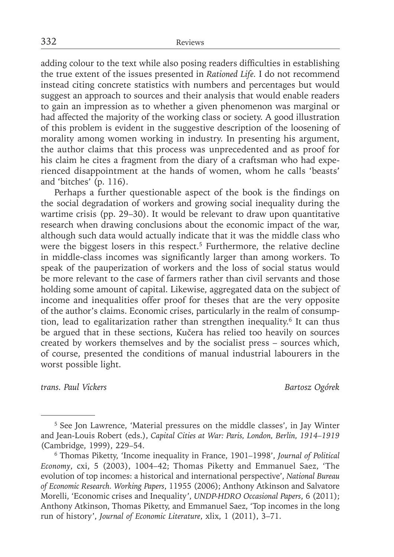adding colour to the text while also posing readers difficulties in establishing the true extent of the issues presented in *Rationed Life.* I do not recommend instead citing concrete statistics with numbers and percentages but would suggest an approach to sources and their analysis that would enable readers to gain an impression as to whether a given phenomenon was marginal or had affected the majority of the working class or society. A good illustration of this problem is evident in the suggestive description of the loosening of morality among women working in industry. In presenting his argument, the author claims that this process was unprecedented and as proof for his claim he cites a fragment from the diary of a craftsman who had experienced disappointment at the hands of women, whom he calls 'beasts' and 'bitches' (p. 116).

Perhaps a further questionable aspect of the book is the findings on the social degradation of workers and growing social inequality during the wartime crisis (pp. 29–30). It would be relevant to draw upon quantitative research when drawing conclusions about the economic impact of the war, although such data would actually indicate that it was the middle class who were the biggest losers in this respect.<sup>5</sup> Furthermore, the relative decline in middle-class incomes was significantly larger than among workers. To speak of the pauperization of workers and the loss of social status would be more relevant to the case of farmers rather than civil servants and those holding some amount of capital. Likewise, aggregated data on the subject of income and inequalities offer proof for theses that are the very opposite of the author's claims. Economic crises, particularly in the realm of consumption, lead to egalitarization rather than strengthen inequality.<sup>6</sup> It can thus be argued that in these sections, Kučera has relied too heavily on sources created by workers themselves and by the socialist press – sources which, of course, presented the conditions of manual industrial labourers in the worst possible light.

*trans. Paul Vickers Bartosz Ogórek*

<sup>5</sup> See Jon Lawrence, 'Material pressures on the middle classes', in Jay Winter and Jean-Louis Robert (eds.), *Capital Cities at War: Paris, London, Berlin, 1914–1919* (Cambridge, 1999), 229–54.

<sup>6</sup> Thomas Piketty, 'Income inequality in France, 1901–1998', *Journal of Political Economy*, cxi, 5 (2003), 1004–42; Thomas Piketty and Emmanuel Saez, 'The evolution of top incomes: a historical and international perspective', *National Bureau of Economic Research. Working Papers*, 11955 (2006); Anthony Atkinson and Salvatore Morelli, 'Economic crises and Inequality', *UNDP-HDRO Occasional Papers*, 6 (2011); Anthony Atkinson, Thomas Piketty, and Emmanuel Saez, 'Top incomes in the long run of history', *Journal of Economic Literature*, xlix, 1 (2011), 3–71.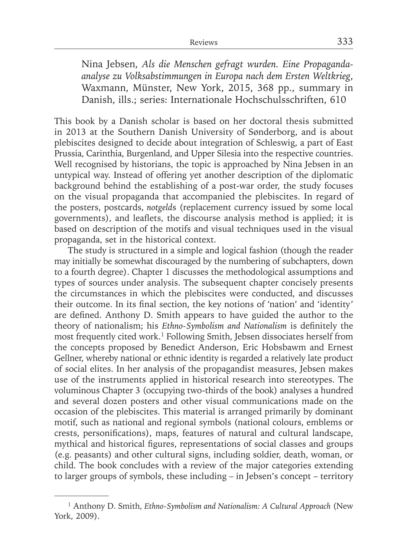Nina Jebsen, *Als die Menschen gefragt wurden. Eine Propagandaanalyse zu Volksabstimmungen in Europa nach dem Ersten Weltkrieg*, Waxmann, Münster, New York, 2015, 368 pp., summary in Danish, ills.; series: Internationale Hochschulsschriften, 610

This book by a Danish scholar is based on her doctoral thesis submitted in 2013 at the Southern Danish University of Sønderborg, and is about plebiscites designed to decide about integration of Schleswig, a part of East Prussia, Carinthia, Burgenland, and Upper Silesia into the respective countries. Well recognised by historians, the topic is approached by Nina Jebsen in an untypical way. Instead of offering yet another description of the diplomatic background behind the establishing of a post-war order, the study focuses on the visual propaganda that accompanied the plebiscites. In regard of the posters, postcards, *notgeld*s (replacement currency issued by some local governments), and leaflets, the discourse analysis method is applied; it is based on description of the motifs and visual techniques used in the visual propaganda, set in the historical context.

The study is structured in a simple and logical fashion (though the reader may initially be somewhat discouraged by the numbering of subchapters, down to a fourth degree). Chapter 1 discusses the methodological assumptions and types of sources under analysis. The subsequent chapter concisely presents the circumstances in which the plebiscites were conducted, and discusses their outcome. In its final section, the key notions of 'nation' and 'identity' are defined. Anthony D. Smith appears to have guided the author to the theory of nationalism; his *Ethno-Symbolism and Nationalism* is definitely the most frequently cited work.1 Following Smith, Jebsen dissociates herself from the concepts proposed by Benedict Anderson, Eric Hobsbawm and Ernest Gellner, whereby national or ethnic identity is regarded a relatively late product of social elites. In her analysis of the propagandist measures, Jebsen makes use of the instruments applied in historical research into stereotypes. The voluminous Chapter 3 (occupying two-thirds of the book) analyses a hundred and several dozen posters and other visual communications made on the occasion of the plebiscites. This material is arranged primarily by dominant motif, such as national and regional symbols (national colours, emblems or crests, personifications), maps, features of natural and cultural landscape, mythical and historical figures, representations of social classes and groups (e.g. peasants) and other cultural signs, including soldier, death, woman, or child. The book concludes with a review of the major categories extending to larger groups of symbols, these including – in Jebsen's concept – territory

<sup>1</sup> Anthony D. Smith, *Ethno-Symbolism and Nationalism: A Cultural Approach* (New York, 2009).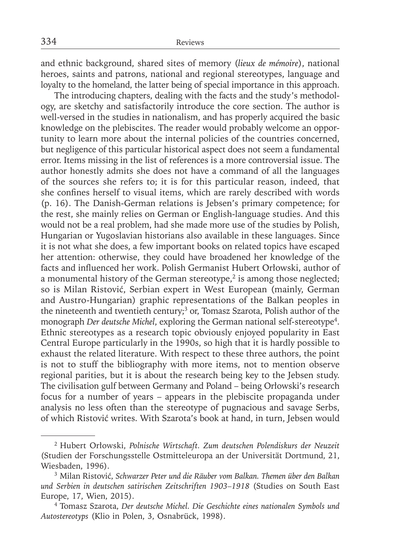and ethnic background, shared sites of memory (*lieux de mémoire*), national heroes, saints and patrons, national and regional stereotypes, language and loyalty to the homeland, the latter being of special importance in this approach.

The introducing chapters, dealing with the facts and the study's methodology, are sketchy and satisfactorily introduce the core section. The author is well-versed in the studies in nationalism, and has properly acquired the basic knowledge on the plebiscites. The reader would probably welcome an opportunity to learn more about the internal policies of the countries concerned, but negligence of this particular historical aspect does not seem a fundamental error. Items missing in the list of references is a more controversial issue. The author honestly admits she does not have a command of all the languages of the sources she refers to; it is for this particular reason, indeed, that she confines herself to visual items, which are rarely described with words (p. 16). The Danish-German relations is Jebsen's primary competence; for the rest, she mainly relies on German or English-language studies. And this would not be a real problem, had she made more use of the studies by Polish, Hungarian or Yugoslavian historians also available in these languages. Since it is not what she does, a few important books on related topics have escaped her attention: otherwise, they could have broadened her knowledge of the facts and influenced her work. Polish Germanist Hubert Orłowski, author of a monumental history of the German stereotype, $2$  is among those neglected; so is Milan Ristović, Serbian expert in West European (mainly, German and Austro-Hungarian) graphic representations of the Balkan peoples in the nineteenth and twentieth century;<sup>3</sup> or, Tomasz Szarota, Polish author of the monograph *Der deutsche Michel*, exploring the German national self-stereotype<sup>4</sup>. Ethnic stereotypes as a research topic obviously enjoyed popularity in East Central Europe particularly in the 1990s, so high that it is hardly possible to exhaust the related literature. With respect to these three authors, the point is not to stuff the bibliography with more items, not to mention observe regional parities, but it is about the research being key to the Jebsen study. The civilisation gulf between Germany and Poland – being Orłowski's research focus for a number of years – appears in the plebiscite propaganda under analysis no less often than the stereotype of pugnacious and savage Serbs, of which Ristović writes. With Szarota's book at hand, in turn, Jebsen would

<sup>2</sup> Hubert Orłowski, *Polnische Wirtschaft. Zum deutschen Polendiskurs der Neuzeit* (Studien der Forschungsstelle Ostmitteleuropa an der Universität Dortmund, 21, Wiesbaden, 1996).

<sup>3</sup> Milan Ristović, *Schwarzer Peter und die Räuber vom Balkan. Themen über den Balkan und Serbien in deutschen satirischen Zeitschriften 1903–1918* (Studies on South East Europe, 17, Wien, 2015).

<sup>4</sup> Tomasz Szarota, *Der deutsche Michel. Die Geschichte eines nationalen Symbols und Autostereotyps* (Klio in Polen, 3, Osnabrück, 1998).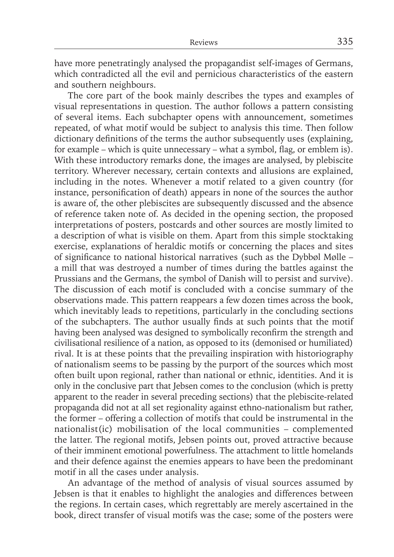have more penetratingly analysed the propagandist self-images of Germans, which contradicted all the evil and pernicious characteristics of the eastern and southern neighbours.

The core part of the book mainly describes the types and examples of visual representations in question. The author follows a pattern consisting of several items. Each subchapter opens with announcement, sometimes repeated, of what motif would be subject to analysis this time. Then follow dictionary definitions of the terms the author subsequently uses (explaining, for example – which is quite unnecessary – what a symbol, flag, or emblem is). With these introductory remarks done, the images are analysed, by plebiscite territory. Wherever necessary, certain contexts and allusions are explained, including in the notes. Whenever a motif related to a given country (for instance, personification of death) appears in none of the sources the author is aware of, the other plebiscites are subsequently discussed and the absence of reference taken note of. As decided in the opening section, the proposed interpretations of posters, postcards and other sources are mostly limited to a description of what is visible on them. Apart from this simple stocktaking exercise, explanations of heraldic motifs or concerning the places and sites of significance to national historical narratives (such as the Dybbøl Mølle – a mill that was destroyed a number of times during the battles against the Prussians and the Germans, the symbol of Danish will to persist and survive). The discussion of each motif is concluded with a concise summary of the observations made. This pattern reappears a few dozen times across the book, which inevitably leads to repetitions, particularly in the concluding sections of the subchapters. The author usually finds at such points that the motif having been analysed was designed to symbolically reconfirm the strength and civilisational resilience of a nation, as opposed to its (demonised or humiliated) rival. It is at these points that the prevailing inspiration with historiography of nationalism seems to be passing by the purport of the sources which most often built upon regional, rather than national or ethnic, identities. And it is only in the conclusive part that Jebsen comes to the conclusion (which is pretty apparent to the reader in several preceding sections) that the plebiscite-related propaganda did not at all set regionality against ethno-nationalism but rather, the former – offering a collection of motifs that could be instrumental in the nationalist(ic) mobilisation of the local communities – complemented the latter. The regional motifs, Jebsen points out, proved attractive because of their imminent emotional powerfulness. The attachment to little homelands and their defence against the enemies appears to have been the predominant motif in all the cases under analysis.

An advantage of the method of analysis of visual sources assumed by Jebsen is that it enables to highlight the analogies and differences between the regions. In certain cases, which regrettably are merely ascertained in the book, direct transfer of visual motifs was the case; some of the posters were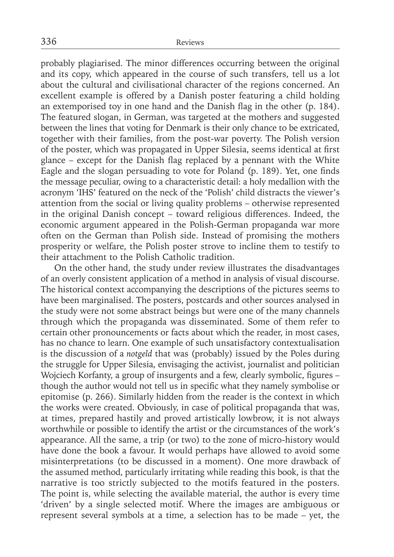probably plagiarised. The minor differences occurring between the original and its copy, which appeared in the course of such transfers, tell us a lot about the cultural and civilisational character of the regions concerned. An excellent example is offered by a Danish poster featuring a child holding an extemporised toy in one hand and the Danish flag in the other (p. 184). The featured slogan, in German, was targeted at the mothers and suggested between the lines that voting for Denmark is their only chance to be extricated, together with their families, from the post-war poverty. The Polish version of the poster, which was propagated in Upper Silesia, seems identical at first glance – except for the Danish flag replaced by a pennant with the White Eagle and the slogan persuading to vote for Poland (p. 189). Yet, one finds the message peculiar, owing to a characteristic detail: a holy medallion with the acronym 'IHS' featured on the neck of the 'Polish' child distracts the viewer's attention from the social or living quality problems – otherwise represented in the original Danish concept – toward religious differences. Indeed, the economic argument appeared in the Polish-German propaganda war more often on the German than Polish side. Instead of promising the mothers prosperity or welfare, the Polish poster strove to incline them to testify to their attachment to the Polish Catholic tradition.

On the other hand, the study under review illustrates the disadvantages of an overly consistent application of a method in analysis of visual discourse. The historical context accompanying the descriptions of the pictures seems to have been marginalised. The posters, postcards and other sources analysed in the study were not some abstract beings but were one of the many channels through which the propaganda was disseminated. Some of them refer to certain other pronouncements or facts about which the reader, in most cases, has no chance to learn. One example of such unsatisfactory contextualisation is the discussion of a *notgeld* that was (probably) issued by the Poles during the struggle for Upper Silesia, envisaging the activist, journalist and politician Wojciech Korfanty, a group of insurgents and a few, clearly symbolic, figures – though the author would not tell us in specific what they namely symbolise or epitomise (p. 266). Similarly hidden from the reader is the context in which the works were created. Obviously, in case of political propaganda that was, at times, prepared hastily and proved artistically lowbrow, it is not always worthwhile or possible to identify the artist or the circumstances of the work's appearance. All the same, a trip (or two) to the zone of micro-history would have done the book a favour. It would perhaps have allowed to avoid some misinterpretations (to be discussed in a moment). One more drawback of the assumed method, particularly irritating while reading this book, is that the narrative is too strictly subjected to the motifs featured in the posters. The point is, while selecting the available material, the author is every time 'driven' by a single selected motif. Where the images are ambiguous or represent several symbols at a time, a selection has to be made – yet, the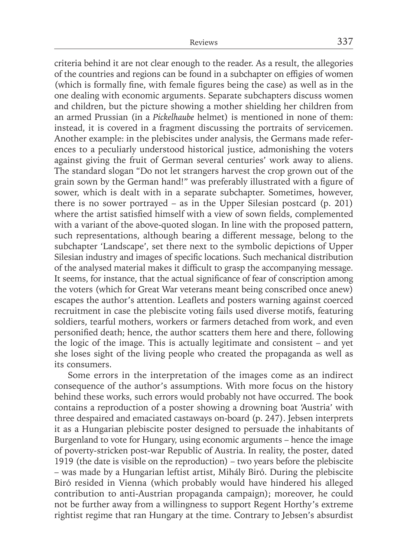criteria behind it are not clear enough to the reader. As a result, the allegories of the countries and regions can be found in a subchapter on effigies of women (which is formally fine, with female figures being the case) as well as in the one dealing with economic arguments. Separate subchapters discuss women and children, but the picture showing a mother shielding her children from an armed Prussian (in a *Pickelhaube* helmet) is mentioned in none of them: instead, it is covered in a fragment discussing the portraits of servicemen. Another example: in the plebiscites under analysis, the Germans made references to a peculiarly understood historical justice, admonishing the voters against giving the fruit of German several centuries' work away to aliens. The standard slogan "Do not let strangers harvest the crop grown out of the grain sown by the German hand!" was preferably illustrated with a figure of sower, which is dealt with in a separate subchapter. Sometimes, however, there is no sower portrayed – as in the Upper Silesian postcard (p. 201) where the artist satisfied himself with a view of sown fields, complemented with a variant of the above-quoted slogan. In line with the proposed pattern, such representations, although bearing a different message, belong to the subchapter 'Landscape', set there next to the symbolic depictions of Upper Silesian industry and images of specific locations. Such mechanical distribution of the analysed material makes it difficult to grasp the accompanying message. It seems, for instance, that the actual significance of fear of conscription among the voters (which for Great War veterans meant being conscribed once anew) escapes the author's attention. Leaflets and posters warning against coerced recruitment in case the plebiscite voting fails used diverse motifs, featuring soldiers, tearful mothers, workers or farmers detached from work, and even personified death; hence, the author scatters them here and there, following the logic of the image. This is actually legitimate and consistent – and yet she loses sight of the living people who created the propaganda as well as its consumers.

Some errors in the interpretation of the images come as an indirect consequence of the author's assumptions. With more focus on the history behind these works, such errors would probably not have occurred. The book contains a reproduction of a poster showing a drowning boat 'Austria' with three despaired and emaciated castaways on-board (p. 247). Jebsen interprets it as a Hungarian plebiscite poster designed to persuade the inhabitants of Burgenland to vote for Hungary, using economic arguments – hence the image of poverty-stricken post-war Republic of Austria. In reality, the poster, dated 1919 (the date is visible on the reproduction) – two years before the plebiscite – was made by a Hungarian leftist artist, Mihály Biró. During the plebiscite Biró resided in Vienna (which probably would have hindered his alleged contribution to anti-Austrian propaganda campaign); moreover, he could not be further away from a willingness to support Regent Horthy's extreme rightist regime that ran Hungary at the time. Contrary to Jebsen's absurdist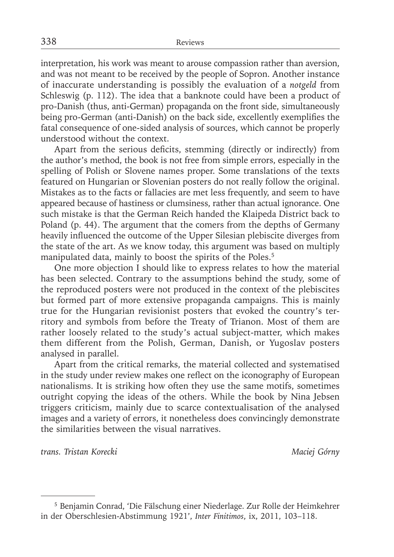interpretation, his work was meant to arouse compassion rather than aversion, and was not meant to be received by the people of Sopron. Another instance of inaccurate understanding is possibly the evaluation of a *notgeld* from Schleswig (p. 112). The idea that a banknote could have been a product of pro-Danish (thus, anti-German) propaganda on the front side, simultaneously being pro-German (anti-Danish) on the back side, excellently exemplifies the fatal consequence of one-sided analysis of sources, which cannot be properly understood without the context.

Apart from the serious deficits, stemming (directly or indirectly) from the author's method, the book is not free from simple errors, especially in the spelling of Polish or Slovene names proper. Some translations of the texts featured on Hungarian or Slovenian posters do not really follow the original. Mistakes as to the facts or fallacies are met less frequently, and seem to have appeared because of hastiness or clumsiness, rather than actual ignorance. One such mistake is that the German Reich handed the Klaipeda District back to Poland (p. 44). The argument that the comers from the depths of Germany heavily influenced the outcome of the Upper Silesian plebiscite diverges from the state of the art. As we know today, this argument was based on multiply manipulated data, mainly to boost the spirits of the Poles.<sup>5</sup>

One more objection I should like to express relates to how the material has been selected. Contrary to the assumptions behind the study, some of the reproduced posters were not produced in the context of the plebiscites but formed part of more extensive propaganda campaigns. This is mainly true for the Hungarian revisionist posters that evoked the country's territory and symbols from before the Treaty of Trianon. Most of them are rather loosely related to the study's actual subject-matter, which makes them different from the Polish, German, Danish, or Yugoslav posters analysed in parallel.

Apart from the critical remarks, the material collected and systematised in the study under review makes one reflect on the iconography of European nationalisms. It is striking how often they use the same motifs, sometimes outright copying the ideas of the others. While the book by Nina Jebsen triggers criticism, mainly due to scarce contextualisation of the analysed images and a variety of errors, it nonetheless does convincingly demonstrate the similarities between the visual narratives.

*trans. Tristan Korecki Maciej Górny*

<sup>5</sup> Benjamin Conrad, 'Die Fälschung einer Niederlage. Zur Rolle der Heimkehrer in der Oberschlesien-Abstimmung 1921', *Inter Finitimos*, ix, 2011, 103–118.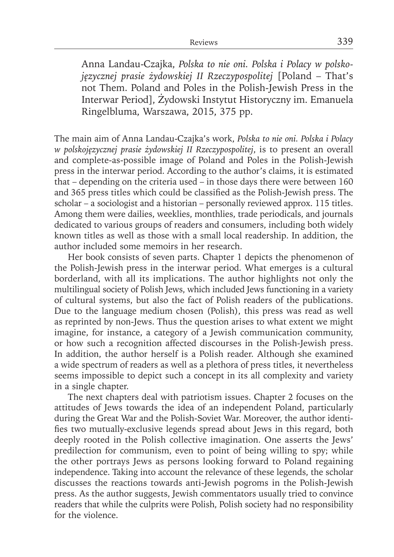Anna Landau-Czajka, *Polska to nie oni. Polska i Polacy w polskojęzycznej prasie żydowskiej II Rzeczypospolitej* [Poland – That's not Them. Poland and Poles in the Polish-Jewish Press in the Interwar Period], Żydowski Instytut Historyczny im. Emanuela Ringelbluma, Warszawa, 2015, 375 pp.

The main aim of Anna Landau-Czajka's work, *Polska to nie oni. Polska i Polacy w polskojęzycznej prasie żydowskiej II Rzeczypospolitej*, is to present an overall and complete-as-possible image of Poland and Poles in the Polish-Jewish press in the interwar period. According to the author's claims, it is estimated that – depending on the criteria used – in those days there were between 160 and 365 press titles which could be classified as the Polish-Jewish press. The scholar – a sociologist and a historian – personally reviewed approx. 115 titles. Among them were dailies, weeklies, monthlies, trade periodicals, and journals dedicated to various groups of readers and consumers, including both widely known titles as well as those with a small local readership. In addition, the author included some memoirs in her research.

Her book consists of seven parts. Chapter 1 depicts the phenomenon of the Polish-Jewish press in the interwar period. What emerges is a cultural borderland, with all its implications. The author highlights not only the multilingual society of Polish Jews, which included Jews functioning in a variety of cultural systems, but also the fact of Polish readers of the publications. Due to the language medium chosen (Polish), this press was read as well as reprinted by non-Jews. Thus the question arises to what extent we might imagine, for instance, a category of a Jewish communication community, or how such a recognition affected discourses in the Polish-Jewish press. In addition, the author herself is a Polish reader. Although she examined a wide spectrum of readers as well as a plethora of press titles, it nevertheless seems impossible to depict such a concept in its all complexity and variety in a single chapter.

The next chapters deal with patriotism issues. Chapter 2 focuses on the attitudes of Jews towards the idea of an independent Poland, particularly during the Great War and the Polish-Soviet War. Moreover, the author identifies two mutually-exclusive legends spread about Jews in this regard, both deeply rooted in the Polish collective imagination. One asserts the Jews' predilection for communism, even to point of being willing to spy; while the other portrays Jews as persons looking forward to Poland regaining independence. Taking into account the relevance of these legends, the scholar discusses the reactions towards anti-Jewish pogroms in the Polish-Jewish press. As the author suggests, Jewish commentators usually tried to convince readers that while the culprits were Polish, Polish society had no responsibility for the violence.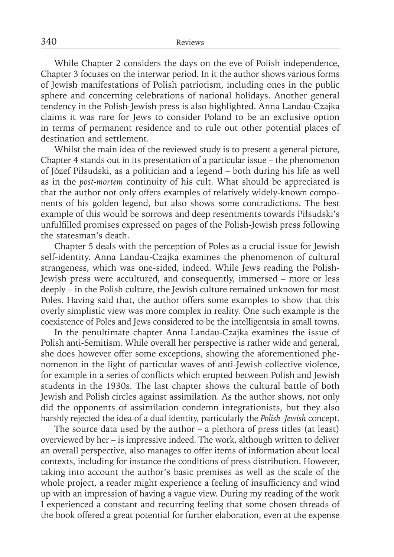While Chapter 2 considers the days on the eve of Polish independence, Chapter 3 focuses on the interwar period. In it the author shows various forms of Jewish manifestations of Polish patriotism, including ones in the public sphere and concerning celebrations of national holidays. Another general tendency in the Polish-Jewish press is also highlighted. Anna Landau-Czajka claims it was rare for Jews to consider Poland to be an exclusive option in terms of permanent residence and to rule out other potential places of destination and settlement.

Whilst the main idea of the reviewed study is to present a general picture, Chapter 4 stands out in its presentation of a particular issue – the phenomenon of Józef Piłsudski, as a politician and a legend – both during his life as well as in the *post-mortem* continuity of his cult. What should be appreciated is that the author not only offers examples of relatively widely-known components of his golden legend, but also shows some contradictions. The best example of this would be sorrows and deep resentments towards Piłsudski's unfulfilled promises expressed on pages of the Polish-Jewish press following the statesman's death.

Chapter 5 deals with the perception of Poles as a crucial issue for Jewish self-identity. Anna Landau-Czajka examines the phenomenon of cultural strangeness, which was one-sided, indeed. While Jews reading the Polish-Jewish press were accultured, and consequently, immersed – more or less deeply – in the Polish culture, the Jewish culture remained unknown for most Poles. Having said that, the author offers some examples to show that this overly simplistic view was more complex in reality. One such example is the coexistence of Poles and Jews considered to be the intelligentsia in small towns.

In the penultimate chapter Anna Landau-Czajka examines the issue of Polish anti-Semitism. While overall her perspective is rather wide and general, she does however offer some exceptions, showing the aforementioned phenomenon in the light of particular waves of anti-Jewish collective violence, for example in a series of conflicts which erupted between Polish and Jewish students in the 1930s. The last chapter shows the cultural battle of both Jewish and Polish circles against assimilation. As the author shows, not only did the opponents of assimilation condemn integrationists, but they also harshly rejected the idea of a dual identity, particularly the *Polish–Jewish* concept.

The source data used by the author – a plethora of press titles (at least) overviewed by her – is impressive indeed. The work, although written to deliver an overall perspective, also manages to offer items of information about local contexts, including for instance the conditions of press distribution. However, taking into account the author's basic premises as well as the scale of the whole project, a reader might experience a feeling of insufficiency and wind up with an impression of having a vague view. During my reading of the work I experienced a constant and recurring feeling that some chosen threads of the book offered a great potential for further elaboration, even at the expense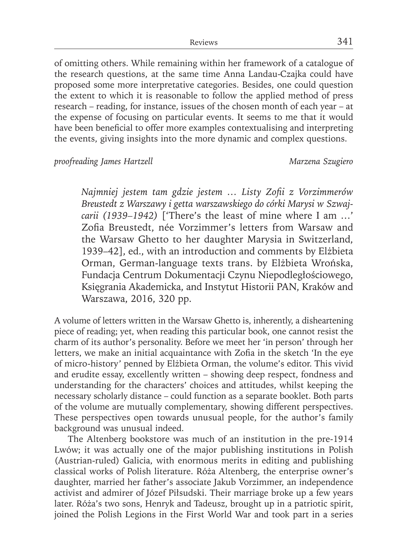of omitting others. While remaining within her framework of a catalogue of the research questions, at the same time Anna Landau-Czajka could have proposed some more interpretative categories. Besides, one could question the extent to which it is reasonable to follow the applied method of press research – reading, for instance, issues of the chosen month of each year – at the expense of focusing on particular events. It seems to me that it would have been beneficial to offer more examples contextualising and interpreting the events, giving insights into the more dynamic and complex questions.

*proofreading James Hartzell Marzena Szugiero*

*Najmniej jestem tam gdzie jestem … Listy Zofi i z Vorzimmerów Breustedt z Warszawy i getta warszawskiego do córki Marysi w Szwajcarii (1939–1942)* ['There's the least of mine where I am …' Zofia Breustedt, née Vorzimmer's letters from Warsaw and the Warsaw Ghetto to her daughter Marysia in Switzerland, 1939–42], ed., with an introduction and comments by Elżbieta Orman, German-language texts trans. by Elżbieta Wrońska, Fundacja Centrum Dokumentacji Czynu Niepodległościowego, Księgrania Akademicka, and Instytut Historii PAN, Kraków and Warszawa, 2016, 320 pp.

A volume of letters written in the Warsaw Ghetto is, inherently, a disheartening piece of reading; yet, when reading this particular book, one cannot resist the charm of its author's personality. Before we meet her 'in person' through her letters, we make an initial acquaintance with Zofia in the sketch 'In the eye of micro-history' penned by Elżbieta Orman, the volume's editor. This vivid and erudite essay, excellently written – showing deep respect, fondness and understanding for the characters' choices and attitudes, whilst keeping the necessary scholarly distance – could function as a separate booklet. Both parts of the volume are mutually complementary, showing different perspectives. These perspectives open towards unusual people, for the author's family background was unusual indeed.

The Altenberg bookstore was much of an institution in the pre-1914 Lwów; it was actually one of the major publishing institutions in Polish (Austrian-ruled) Galicia, with enormous merits in editing and publishing classical works of Polish literature. Róża Altenberg, the enterprise owner's daughter, married her father's associate Jakub Vorzimmer, an independence activist and admirer of Józef Piłsudski. Their marriage broke up a few years later. Róża's two sons, Henryk and Tadeusz, brought up in a patriotic spirit, joined the Polish Legions in the First World War and took part in a series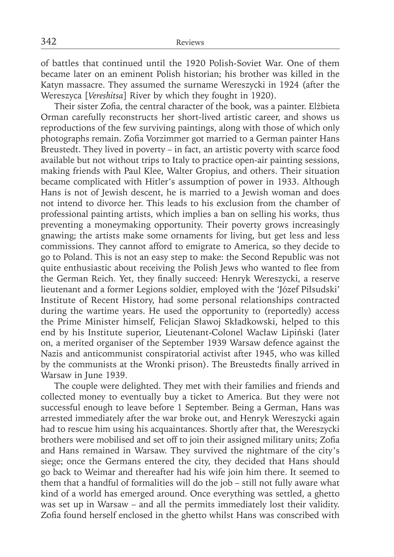of battles that continued until the 1920 Polish-Soviet War. One of them became later on an eminent Polish historian; his brother was killed in the Katyn massacre. They assumed the surname Wereszycki in 1924 (after the Wereszyca [*Vereshitsa*] River by which they fought in 1920).

Their sister Zofia, the central character of the book, was a painter. Elżbieta Orman carefully reconstructs her short-lived artistic career, and shows us reproductions of the few surviving paintings, along with those of which only photographs remain. Zofia Vorzimmer got married to a German painter Hans Breustedt. They lived in poverty – in fact, an artistic poverty with scarce food available but not without trips to Italy to practice open-air painting sessions, making friends with Paul Klee, Walter Gropius, and others. Their situation became complicated with Hitler's assumption of power in 1933. Although Hans is not of Jewish descent, he is married to a Jewish woman and does not intend to divorce her. This leads to his exclusion from the chamber of professional painting artists, which implies a ban on selling his works, thus preventing a moneymaking opportunity. Their poverty grows increasingly gnawing; the artists make some ornaments for living, but get less and less commissions. They cannot afford to emigrate to America, so they decide to go to Poland. This is not an easy step to make: the Second Republic was not quite enthusiastic about receiving the Polish Jews who wanted to flee from the German Reich. Yet, they finally succeed: Henryk Wereszycki, a reserve lieutenant and a former Legions soldier, employed with the 'Józef Piłsudski' Institute of Recent History, had some personal relationships contracted during the wartime years. He used the opportunity to (reportedly) access the Prime Minister himself, Felicjan Sławoj Składkowski, helped to this end by his Institute superior, Lieutenant-Colonel Wacław Lipiński (later on, a merited organiser of the September 1939 Warsaw defence against the Nazis and anticommunist conspiratorial activist after 1945, who was killed by the communists at the Wronki prison). The Breustedts finally arrived in Warsaw in June 1939.

The couple were delighted. They met with their families and friends and collected money to eventually buy a ticket to America. But they were not successful enough to leave before 1 September. Being a German, Hans was arrested immediately after the war broke out, and Henryk Wereszycki again had to rescue him using his acquaintances. Shortly after that, the Wereszycki brothers were mobilised and set off to join their assigned military units; Zofia and Hans remained in Warsaw. They survived the nightmare of the city's siege; once the Germans entered the city, they decided that Hans should go back to Weimar and thereafter had his wife join him there. It seemed to them that a handful of formalities will do the job – still not fully aware what kind of a world has emerged around. Once everything was settled, a ghetto was set up in Warsaw – and all the permits immediately lost their validity. Zofia found herself enclosed in the ghetto whilst Hans was conscribed with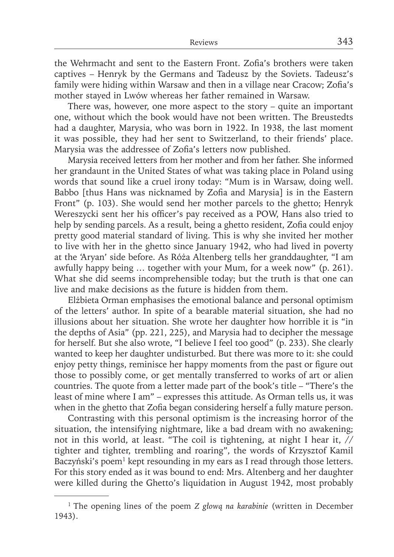the Wehrmacht and sent to the Eastern Front. Zofia's brothers were taken captives – Henryk by the Germans and Tadeusz by the Soviets. Tadeusz's family were hiding within Warsaw and then in a village near Cracow; Zofia's mother stayed in Lwów whereas her father remained in Warsaw.

There was, however, one more aspect to the story – quite an important one, without which the book would have not been written. The Breustedts had a daughter, Marysia, who was born in 1922. In 1938, the last moment it was possible, they had her sent to Switzerland, to their friends' place. Marysia was the addressee of Zofia's letters now published.

Marysia received letters from her mother and from her father. She informed her grandaunt in the United States of what was taking place in Poland using words that sound like a cruel irony today: "Mum is in Warsaw, doing well. Babbo [thus Hans was nicknamed by Zofia and Marysia] is in the Eastern Front" (p. 103). She would send her mother parcels to the ghetto; Henryk Wereszycki sent her his officer's pay received as a POW, Hans also tried to help by sending parcels. As a result, being a ghetto resident, Zofia could enjoy pretty good material standard of living. This is why she invited her mother to live with her in the ghetto since January 1942, who had lived in poverty at the 'Aryan' side before. As Róża Altenberg tells her granddaughter, "I am awfully happy being … together with your Mum, for a week now" (p. 261). What she did seems incomprehensible today; but the truth is that one can live and make decisions as the future is hidden from them.

Elżbieta Orman emphasises the emotional balance and personal optimism of the letters' author. In spite of a bearable material situation, she had no illusions about her situation. She wrote her daughter how horrible it is "in the depths of Asia" (pp. 221, 225), and Marysia had to decipher the message for herself. But she also wrote, "I believe I feel too good" (p. 233). She clearly wanted to keep her daughter undisturbed. But there was more to it: she could enjoy petty things, reminisce her happy moments from the past or figure out those to possibly come, or get mentally transferred to works of art or alien countries. The quote from a letter made part of the book's title – "There's the least of mine where I am" – expresses this attitude. As Orman tells us, it was when in the ghetto that Zofia began considering herself a fully mature person.

Contrasting with this personal optimism is the increasing horror of the situation, the intensifying nightmare, like a bad dream with no awakening; not in this world, at least. "The coil is tightening, at night I hear it, // tighter and tighter, trembling and roaring", the words of Krzysztof Kamil Baczyński's poem<sup>1</sup> kept resounding in my ears as I read through those letters. For this story ended as it was bound to end: Mrs. Altenberg and her daughter were killed during the Ghetto's liquidation in August 1942, most probably

<sup>1</sup> The opening lines of the poem *Z głową na karabinie* (written in December 1943).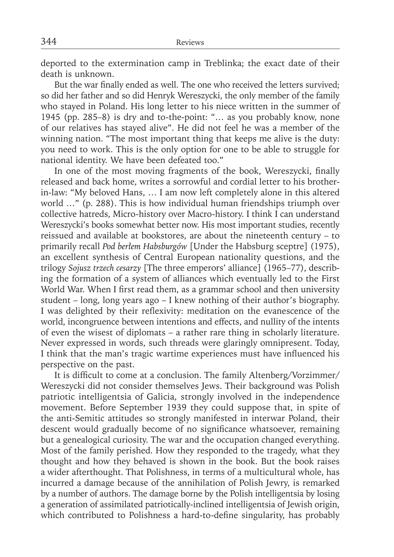deported to the extermination camp in Treblinka; the exact date of their death is unknown.

But the war finally ended as well. The one who received the letters survived; so did her father and so did Henryk Wereszycki, the only member of the family who stayed in Poland. His long letter to his niece written in the summer of 1945 (pp. 285–8) is dry and to-the-point: "… as you probably know, none of our relatives has stayed alive". He did not feel he was a member of the winning nation. "The most important thing that keeps me alive is the duty: you need to work. This is the only option for one to be able to struggle for national identity. We have been defeated too."

In one of the most moving fragments of the book, Wereszycki, finally released and back home, writes a sorrowful and cordial letter to his brotherin-law: "My beloved Hans, … I am now left completely alone in this altered world …" (p. 288). This is how individual human friendships triumph over collective hatreds, Micro-history over Macro-history. I think I can understand Wereszycki's books somewhat better now. His most important studies, recently reissued and available at bookstores, are about the nineteenth century – to primarily recall *Pod berłem Habsburgów* [Under the Habsburg sceptre] (1975), an excellent synthesis of Central European nationality questions, and the trilogy *Sojusz trzech cesarzy* [The three emperors' alliance] (1965–77), describing the formation of a system of alliances which eventually led to the First World War. When I first read them, as a grammar school and then university student – long, long years ago – I knew nothing of their author's biography. I was delighted by their reflexivity: meditation on the evanescence of the world, incongruence between intentions and effects, and nullity of the intents of even the wisest of diplomats – a rather rare thing in scholarly literature. Never expressed in words, such threads were glaringly omnipresent. Today, I think that the man's tragic wartime experiences must have influenced his perspective on the past.

It is difficult to come at a conclusion. The family Altenberg/Vorzimmer/ Wereszycki did not consider themselves Jews. Their background was Polish patriotic intelligentsia of Galicia, strongly involved in the independence movement. Before September 1939 they could suppose that, in spite of the anti-Semitic attitudes so strongly manifested in interwar Poland, their descent would gradually become of no significance whatsoever, remaining but a genealogical curiosity. The war and the occupation changed everything. Most of the family perished. How they responded to the tragedy, what they thought and how they behaved is shown in the book. But the book raises a wider afterthought. That Polishness, in terms of a multicultural whole, has incurred a damage because of the annihilation of Polish Jewry, is remarked by a number of authors. The damage borne by the Polish intelligentsia by losing a generation of assimilated patriotically-inclined intelligentsia of Jewish origin, which contributed to Polishness a hard-to-define singularity, has probably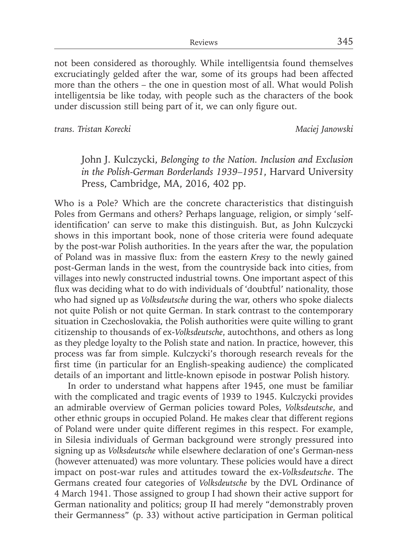not been considered as thoroughly. While intelligentsia found themselves excruciatingly gelded after the war, some of its groups had been affected more than the others – the one in question most of all. What would Polish intelligentsia be like today, with people such as the characters of the book under discussion still being part of it, we can only figure out.

*trans. Tristan Korecki Maciej Janowski*

John J. Kulczycki, *Belonging to the Nation. Inclusion and Exclusion in the Polish-German Borderlands 1939–1951*, Harvard University Press, Cambridge, MA, 2016, 402 pp.

Who is a Pole? Which are the concrete characteristics that distinguish Poles from Germans and others? Perhaps language, religion, or simply 'selfidentification' can serve to make this distinguish. But, as John Kulczycki shows in this important book, none of those criteria were found adequate by the post-war Polish authorities. In the years after the war, the population of Poland was in massive flux: from the eastern *Kresy* to the newly gained post-German lands in the west, from the countryside back into cities, from villages into newly constructed industrial towns. One important aspect of this flux was deciding what to do with individuals of 'doubtful' nationality, those who had signed up as *Volksdeutsche* during the war, others who spoke dialects not quite Polish or not quite German. In stark contrast to the contemporary situation in Czechoslovakia, the Polish authorities were quite willing to grant citizenship to thousands of ex-*Volksdeutsche*, autochthons, and others as long as they pledge loyalty to the Polish state and nation. In practice, however, this process was far from simple. Kulczycki's thorough research reveals for the first time (in particular for an English-speaking audience) the complicated details of an important and little-known episode in postwar Polish history.

In order to understand what happens after 1945, one must be familiar with the complicated and tragic events of 1939 to 1945. Kulczycki provides an admirable overview of German policies toward Poles, *Volksdeutsche*, and other ethnic groups in occupied Poland. He makes clear that different regions of Poland were under quite different regimes in this respect. For example, in Silesia individuals of German background were strongly pressured into signing up as *Volksdeutsche* while elsewhere declaration of one's German-ness (however attenuated) was more voluntary. These policies would have a direct impact on post-war rules and attitudes toward the ex-*Volksdeutsche*. The Germans created four categories of *Volksdeutsche* by the DVL Ordinance of 4 March 1941. Those assigned to group I had shown their active support for German nationality and politics; group II had merely "demonstrably proven their Germanness" (p. 33) without active participation in German political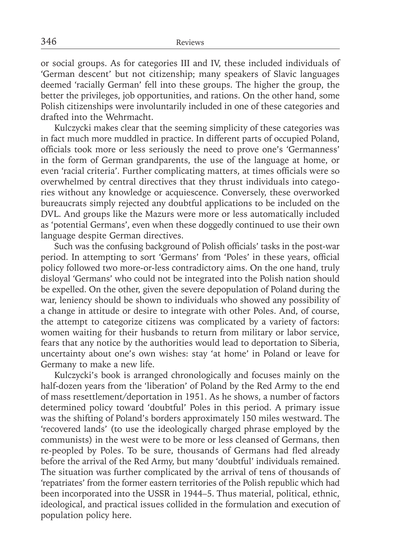or social groups. As for categories III and IV, these included individuals of 'German descent' but not citizenship; many speakers of Slavic languages deemed 'racially German' fell into these groups. The higher the group, the better the privileges, job opportunities, and rations. On the other hand, some Polish citizenships were involuntarily included in one of these categories and drafted into the Wehrmacht.

Kulczycki makes clear that the seeming simplicity of these categories was in fact much more muddled in practice. In different parts of occupied Poland, officials took more or less seriously the need to prove one's 'Germanness' in the form of German grandparents, the use of the language at home, or even 'racial criteria'. Further complicating matters, at times officials were so overwhelmed by central directives that they thrust individuals into categories without any knowledge or acquiescence. Conversely, these overworked bureaucrats simply rejected any doubtful applications to be included on the DVL. And groups like the Mazurs were more or less automatically included as 'potential Germans', even when these doggedly continued to use their own language despite German directives.

Such was the confusing background of Polish officials' tasks in the post-war period. In attempting to sort 'Germans' from 'Poles' in these years, official policy followed two more-or-less contradictory aims. On the one hand, truly disloyal 'Germans' who could not be integrated into the Polish nation should be expelled. On the other, given the severe depopulation of Poland during the war, leniency should be shown to individuals who showed any possibility of a change in attitude or desire to integrate with other Poles. And, of course, the attempt to categorize citizens was complicated by a variety of factors: women waiting for their husbands to return from military or labor service, fears that any notice by the authorities would lead to deportation to Siberia, uncertainty about one's own wishes: stay 'at home' in Poland or leave for Germany to make a new life.

Kulczycki's book is arranged chronologically and focuses mainly on the half-dozen years from the 'liberation' of Poland by the Red Army to the end of mass resettlement/deportation in 1951. As he shows, a number of factors determined policy toward 'doubtful' Poles in this period. A primary issue was the shifting of Poland's borders approximately 150 miles westward. The 'recovered lands' (to use the ideologically charged phrase employed by the communists) in the west were to be more or less cleansed of Germans, then re-peopled by Poles. To be sure, thousands of Germans had fled already before the arrival of the Red Army, but many 'doubtful' individuals remained. The situation was further complicated by the arrival of tens of thousands of 'repatriates' from the former eastern territories of the Polish republic which had been incorporated into the USSR in 1944–5. Thus material, political, ethnic, ideological, and practical issues collided in the formulation and execution of population policy here.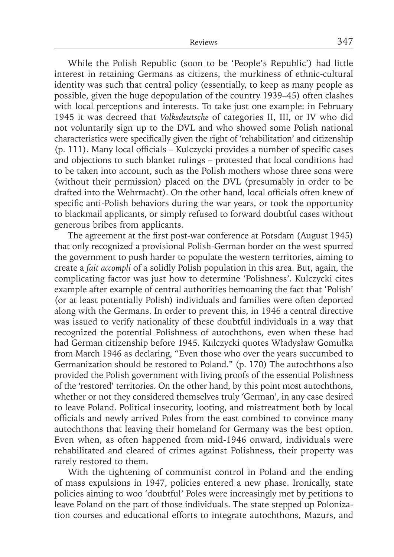While the Polish Republic (soon to be 'People's Republic') had little interest in retaining Germans as citizens, the murkiness of ethnic-cultural identity was such that central policy (essentially, to keep as many people as possible, given the huge depopulation of the country 1939–45) often clashes with local perceptions and interests. To take just one example: in February 1945 it was decreed that *Volksdeutsche* of categories II, III, or IV who did not voluntarily sign up to the DVL and who showed some Polish national characteristics were specifically given the right of 'rehabilitation' and citizenship  $(p. 111)$ . Many local officials – Kulczycki provides a number of specific cases and objections to such blanket rulings – protested that local conditions had to be taken into account, such as the Polish mothers whose three sons were (without their permission) placed on the DVL (presumably in order to be drafted into the Wehrmacht). On the other hand, local officials often knew of specific anti-Polish behaviors during the war years, or took the opportunity to blackmail applicants, or simply refused to forward doubtful cases without generous bribes from applicants.

The agreement at the first post-war conference at Potsdam (August 1945) that only recognized a provisional Polish-German border on the west spurred the government to push harder to populate the western territories, aiming to create a *fait accompli* of a solidly Polish population in this area. But, again, the complicating factor was just how to determine 'Polishness'. Kulczycki cites example after example of central authorities bemoaning the fact that 'Polish' (or at least potentially Polish) individuals and families were often deported along with the Germans. In order to prevent this, in 1946 a central directive was issued to verify nationality of these doubtful individuals in a way that recognized the potential Polishness of autochthons, even when these had had German citizenship before 1945. Kulczycki quotes Władysław Gomułka from March 1946 as declaring, "Even those who over the years succumbed to Germanization should be restored to Poland." (p. 170) The autochthons also provided the Polish government with living proofs of the essential Polishness of the 'restored' territories. On the other hand, by this point most autochthons, whether or not they considered themselves truly 'German', in any case desired to leave Poland. Political insecurity, looting, and mistreatment both by local officials and newly arrived Poles from the east combined to convince many autochthons that leaving their homeland for Germany was the best option. Even when, as often happened from mid-1946 onward, individuals were rehabilitated and cleared of crimes against Polishness, their property was rarely restored to them.

With the tightening of communist control in Poland and the ending of mass expulsions in 1947, policies entered a new phase. Ironically, state policies aiming to woo 'doubtful' Poles were increasingly met by petitions to leave Poland on the part of those individuals. The state stepped up Polonization courses and educational efforts to integrate autochthons, Mazurs, and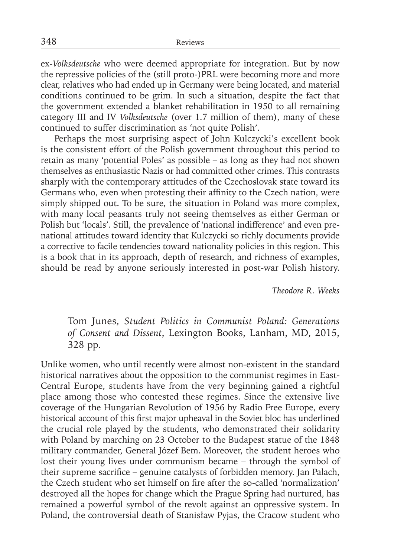ex-*Volksdeutsche* who were deemed appropriate for integration. But by now the repressive policies of the (still proto-)PRL were becoming more and more clear, relatives who had ended up in Germany were being located, and material conditions continued to be grim. In such a situation, despite the fact that the government extended a blanket rehabilitation in 1950 to all remaining category III and IV *Volksdeutsche* (over 1.7 million of them), many of these continued to suffer discrimination as 'not quite Polish'.

Perhaps the most surprising aspect of John Kulczycki's excellent book is the consistent effort of the Polish government throughout this period to retain as many 'potential Poles' as possible – as long as they had not shown themselves as enthusiastic Nazis or had committed other crimes. This contrasts sharply with the contemporary attitudes of the Czechoslovak state toward its Germans who, even when protesting their affinity to the Czech nation, were simply shipped out. To be sure, the situation in Poland was more complex, with many local peasants truly not seeing themselves as either German or Polish but 'locals'. Still, the prevalence of 'national indifference' and even prenational attitudes toward identity that Kulczycki so richly documents provide a corrective to facile tendencies toward nationality policies in this region. This is a book that in its approach, depth of research, and richness of examples, should be read by anyone seriously interested in post-war Polish history.

*Theodore R. Weeks*

## Tom Junes, *Student Politics in Communist Poland: Generations of Consent and Dissent*, Lexington Books, Lanham, MD, 2015, 328 pp.

Unlike women, who until recently were almost non-existent in the standard historical narratives about the opposition to the communist regimes in East-Central Europe, students have from the very beginning gained a rightful place among those who contested these regimes. Since the extensive live coverage of the Hungarian Revolution of 1956 by Radio Free Europe, every historical account of this first major upheaval in the Soviet bloc has underlined the crucial role played by the students, who demonstrated their solidarity with Poland by marching on 23 October to the Budapest statue of the 1848 military commander, General Józef Bem. Moreover, the student heroes who lost their young lives under communism became – through the symbol of their supreme sacrifice – genuine catalysts of forbidden memory. Jan Palach, the Czech student who set himself on fire after the so-called 'normalization' destroyed all the hopes for change which the Prague Spring had nurtured, has remained a powerful symbol of the revolt against an oppressive system. In Poland, the controversial death of Stanisław Pyjas, the Cracow student who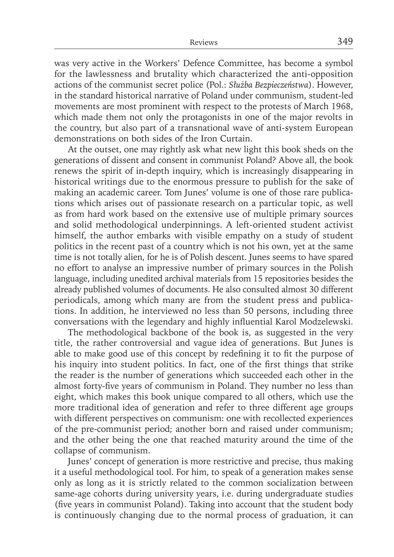was very active in the Workers' Defence Committee, has become a symbol for the lawlessness and brutality which characterized the anti-opposition actions of the communist secret police (Pol.: *Służba Bezpieczeństwa*). However, in the standard historical narrative of Poland under communism, student-led movements are most prominent with respect to the protests of March 1968, which made them not only the protagonists in one of the major revolts in the country, but also part of a transnational wave of anti-system European demonstrations on both sides of the Iron Curtain.

At the outset, one may rightly ask what new light this book sheds on the generations of dissent and consent in communist Poland? Above all, the book renews the spirit of in-depth inquiry, which is increasingly disappearing in historical writings due to the enormous pressure to publish for the sake of making an academic career. Tom Junes' volume is one of those rare publications which arises out of passionate research on a particular topic, as well as from hard work based on the extensive use of multiple primary sources and solid methodological underpinnings. A left-oriented student activist himself, the author embarks with visible empathy on a study of student politics in the recent past of a country which is not his own, yet at the same time is not totally alien, for he is of Polish descent. Junes seems to have spared no effort to analyse an impressive number of primary sources in the Polish language, including unedited archival materials from 15 repositories besides the already published volumes of documents. He also consulted almost 30 different periodicals, among which many are from the student press and publications. In addition, he interviewed no less than 50 persons, including three conversations with the legendary and highly influential Karol Modzelewski.

The methodological backbone of the book is, as suggested in the very title, the rather controversial and vague idea of generations. But Junes is able to make good use of this concept by redefining it to fit the purpose of his inquiry into student politics. In fact, one of the first things that strike the reader is the number of generations which succeeded each other in the almost forty-five years of communism in Poland. They number no less than eight, which makes this book unique compared to all others, which use the more traditional idea of generation and refer to three different age groups with different perspectives on communism: one with recollected experiences of the pre-communist period; another born and raised under communism; and the other being the one that reached maturity around the time of the collapse of communism.

Junes' concept of generation is more restrictive and precise, thus making it a useful methodological tool. For him, to speak of a generation makes sense only as long as it is strictly related to the common socialization between same-age cohorts during university years, i.e. during undergraduate studies (five years in communist Poland). Taking into account that the student body is continuously changing due to the normal process of graduation, it can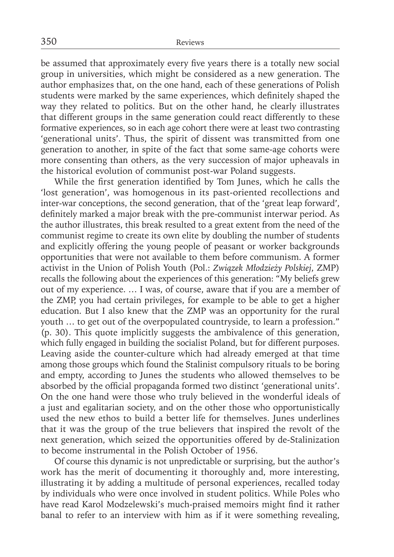be assumed that approximately every five years there is a totally new social group in universities, which might be considered as a new generation. The author emphasizes that, on the one hand, each of these generations of Polish students were marked by the same experiences, which definitely shaped the way they related to politics. But on the other hand, he clearly illustrates that different groups in the same generation could react differently to these formative experiences, so in each age cohort there were at least two contrasting 'generational units'. Thus, the spirit of dissent was transmitted from one generation to another, in spite of the fact that some same-age cohorts were more consenting than others, as the very succession of major upheavals in the historical evolution of communist post-war Poland suggests.

While the first generation identified by Tom Junes, which he calls the 'lost generation', was homogenous in its past-oriented recollections and inter-war conceptions, the second generation, that of the 'great leap forward', definitely marked a major break with the pre-communist interwar period. As the author illustrates, this break resulted to a great extent from the need of the communist regime to create its own elite by doubling the number of students and explicitly offering the young people of peasant or worker backgrounds opportunities that were not available to them before communism. A former activist in the Union of Polish Youth (Pol.: *Związek Młodzieży Polskiej*, ZMP) recalls the following about the experiences of this generation: "My beliefs grew out of my experience. … I was, of course, aware that if you are a member of the ZMP, you had certain privileges, for example to be able to get a higher education. But I also knew that the ZMP was an opportunity for the rural youth … to get out of the overpopulated countryside, to learn a profession." (p. 30). This quote implicitly suggests the ambivalence of this generation, which fully engaged in building the socialist Poland, but for different purposes. Leaving aside the counter-culture which had already emerged at that time among those groups which found the Stalinist compulsory rituals to be boring and empty, according to Junes the students who allowed themselves to be absorbed by the official propaganda formed two distinct 'generational units'. On the one hand were those who truly believed in the wonderful ideals of a just and egalitarian society, and on the other those who opportunistically used the new ethos to build a better life for themselves. Junes underlines that it was the group of the true believers that inspired the revolt of the next generation, which seized the opportunities offered by de-Stalinization to become instrumental in the Polish October of 1956.

Of course this dynamic is not unpredictable or surprising, but the author's work has the merit of documenting it thoroughly and, more interesting, illustrating it by adding a multitude of personal experiences, recalled today by individuals who were once involved in student politics. While Poles who have read Karol Modzelewski's much-praised memoirs might find it rather banal to refer to an interview with him as if it were something revealing,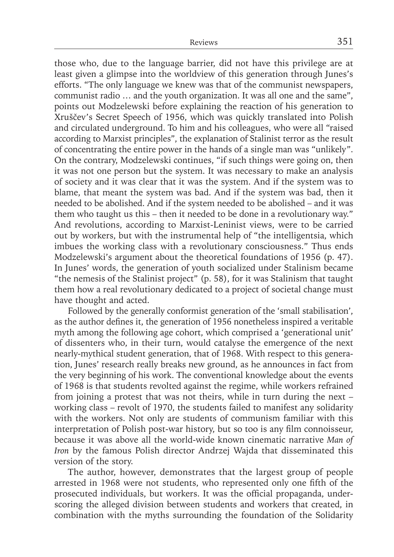those who, due to the language barrier, did not have this privilege are at least given a glimpse into the worldview of this generation through Junes's efforts. "The only language we knew was that of the communist newspapers, communist radio … and the youth organization. It was all one and the same", points out Modzelewski before explaining the reaction of his generation to Xruščev's Secret Speech of 1956, which was quickly translated into Polish and circulated underground. To him and his colleagues, who were all "raised according to Marxist principles", the explanation of Stalinist terror as the result of concentrating the entire power in the hands of a single man was "unlikely". On the contrary, Modzelewski continues, "if such things were going on, then it was not one person but the system. It was necessary to make an analysis of society and it was clear that it was the system. And if the system was to blame, that meant the system was bad. And if the system was bad, then it needed to be abolished. And if the system needed to be abolished – and it was them who taught us this – then it needed to be done in a revolutionary way." And revolutions, according to Marxist-Leninist views, were to be carried out by workers, but with the instrumental help of "the intelligentsia, which imbues the working class with a revolutionary consciousness." Thus ends Modzelewski's argument about the theoretical foundations of 1956 (p. 47). In Junes' words, the generation of youth socialized under Stalinism became "the nemesis of the Stalinist project" (p. 58), for it was Stalinism that taught them how a real revolutionary dedicated to a project of societal change must have thought and acted.

Followed by the generally conformist generation of the 'small stabilisation', as the author defines it, the generation of 1956 nonetheless inspired a veritable myth among the following age cohort, which comprised a 'generational unit' of dissenters who, in their turn, would catalyse the emergence of the next nearly-mythical student generation, that of 1968. With respect to this generation, Junes' research really breaks new ground, as he announces in fact from the very beginning of his work. The conventional knowledge about the events of 1968 is that students revolted against the regime, while workers refrained from joining a protest that was not theirs, while in turn during the next – working class – revolt of 1970, the students failed to manifest any solidarity with the workers. Not only are students of communism familiar with this interpretation of Polish post-war history, but so too is any film connoisseur, because it was above all the world-wide known cinematic narrative *Man of Iron* by the famous Polish director Andrzej Wajda that disseminated this version of the story.

The author, however, demonstrates that the largest group of people arrested in 1968 were not students, who represented only one fifth of the prosecuted individuals, but workers. It was the official propaganda, underscoring the alleged division between students and workers that created, in combination with the myths surrounding the foundation of the Solidarity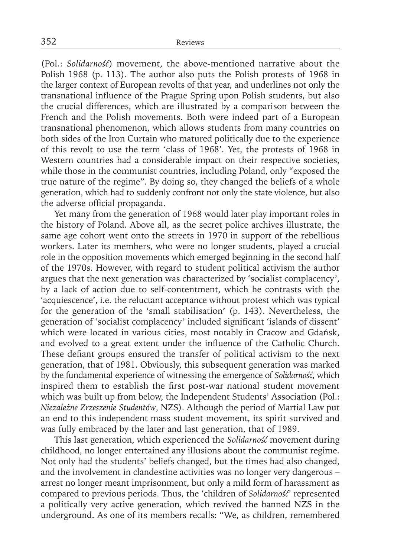(Pol.: *Solidarność*) movement, the above-mentioned narrative about the Polish 1968 (p. 113). The author also puts the Polish protests of 1968 in the larger context of European revolts of that year, and underlines not only the transnational influence of the Prague Spring upon Polish students, but also the crucial differences, which are illustrated by a comparison between the French and the Polish movements. Both were indeed part of a European transnational phenomenon, which allows students from many countries on both sides of the Iron Curtain who matured politically due to the experience of this revolt to use the term 'class of 1968'. Yet, the protests of 1968 in Western countries had a considerable impact on their respective societies, while those in the communist countries, including Poland, only "exposed the true nature of the regime". By doing so, they changed the beliefs of a whole generation, which had to suddenly confront not only the state violence, but also the adverse official propaganda.

Yet many from the generation of 1968 would later play important roles in the history of Poland. Above all, as the secret police archives illustrate, the same age cohort went onto the streets in 1970 in support of the rebellious workers. Later its members, who were no longer students, played a crucial role in the opposition movements which emerged beginning in the second half of the 1970s. However, with regard to student political activism the author argues that the next generation was characterized by 'socialist complacency', by a lack of action due to self-contentment, which he contrasts with the 'acquiescence', i.e. the reluctant acceptance without protest which was typical for the generation of the 'small stabilisation' (p. 143). Nevertheless, the generation of 'socialist complacency' included significant 'islands of dissent' which were located in various cities, most notably in Cracow and Gdańsk, and evolved to a great extent under the influence of the Catholic Church. These defiant groups ensured the transfer of political activism to the next generation, that of 1981. Obviously, this subsequent generation was marked by the fundamental experience of witnessing the emergence of *Solidarność*, which inspired them to establish the first post-war national student movement which was built up from below, the Independent Students' Association (Pol.: *Niezależne Zrzeszenie Studentów*, NZS). Although the period of Martial Law put an end to this independent mass student movement, its spirit survived and was fully embraced by the later and last generation, that of 1989.

This last generation, which experienced the *Solidarność* movement during childhood, no longer entertained any illusions about the communist regime. Not only had the students' beliefs changed, but the times had also changed, and the involvement in clandestine activities was no longer very dangerous – arrest no longer meant imprisonment, but only a mild form of harassment as compared to previous periods. Thus, the 'children of *Solidarność*' represented a politically very active generation, which revived the banned NZS in the underground. As one of its members recalls: "We, as children, remembered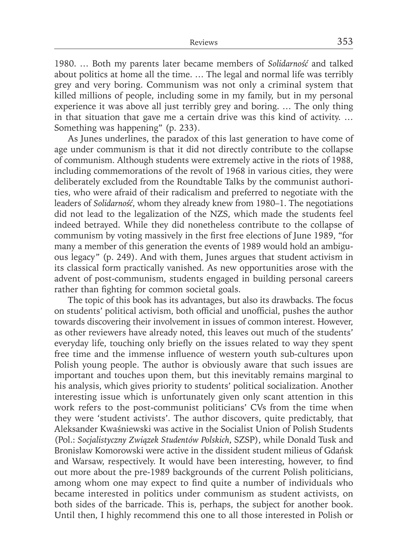1980. … Both my parents later became members of *Solidarność* and talked about politics at home all the time. … The legal and normal life was terribly grey and very boring. Communism was not only a criminal system that killed millions of people, including some in my family, but in my personal experience it was above all just terribly grey and boring. … The only thing in that situation that gave me a certain drive was this kind of activity. … Something was happening" (p. 233).

As Junes underlines, the paradox of this last generation to have come of age under communism is that it did not directly contribute to the collapse of communism. Although students were extremely active in the riots of 1988, including commemorations of the revolt of 1968 in various cities, they were deliberately excluded from the Roundtable Talks by the communist authorities, who were afraid of their radicalism and preferred to negotiate with the leaders of *Solidarność*, whom they already knew from 1980–1. The negotiations did not lead to the legalization of the NZS, which made the students feel indeed betrayed. While they did nonetheless contribute to the collapse of communism by voting massively in the first free elections of June 1989, "for many a member of this generation the events of 1989 would hold an ambiguous legacy" (p. 249). And with them, Junes argues that student activism in its classical form practically vanished. As new opportunities arose with the advent of post-communism, students engaged in building personal careers rather than fighting for common societal goals.

The topic of this book has its advantages, but also its drawbacks. The focus on students' political activism, both official and unofficial, pushes the author towards discovering their involvement in issues of common interest. However, as other reviewers have already noted, this leaves out much of the students' everyday life, touching only briefly on the issues related to way they spent free time and the immense influence of western youth sub-cultures upon Polish young people. The author is obviously aware that such issues are important and touches upon them, but this inevitably remains marginal to his analysis, which gives priority to students' political socialization. Another interesting issue which is unfortunately given only scant attention in this work refers to the post-communist politicians' CVs from the time when they were 'student activists'. The author discovers, quite predictably, that Aleksander Kwaśniewski was active in the Socialist Union of Polish Students (Pol.: *Socjalistyczny Związek Studentów Polskich*, SZSP), while Donald Tusk and Bronisław Komorowski were active in the dissident student milieus of Gdańsk and Warsaw, respectively. It would have been interesting, however, to find out more about the pre-1989 backgrounds of the current Polish politicians, among whom one may expect to find quite a number of individuals who became interested in politics under communism as student activists, on both sides of the barricade. This is, perhaps, the subject for another book. Until then, I highly recommend this one to all those interested in Polish or